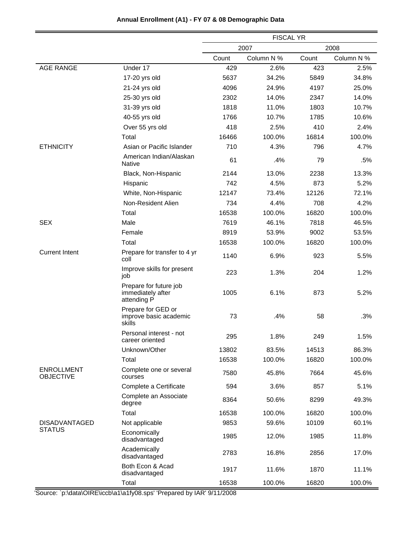|                                       |                                                            | <b>FISCAL YR</b> |            |       |            |
|---------------------------------------|------------------------------------------------------------|------------------|------------|-------|------------|
|                                       |                                                            |                  | 2007       |       | 2008       |
|                                       |                                                            | Count            | Column N % | Count | Column N % |
| <b>AGE RANGE</b>                      | Under 17                                                   | 429              | 2.6%       | 423   | 2.5%       |
|                                       | 17-20 yrs old                                              | 5637             | 34.2%      | 5849  | 34.8%      |
|                                       | 21-24 yrs old                                              | 4096             | 24.9%      | 4197  | 25.0%      |
|                                       | 25-30 yrs old                                              | 2302             | 14.0%      | 2347  | 14.0%      |
|                                       | 31-39 yrs old                                              | 1818             | 11.0%      | 1803  | 10.7%      |
|                                       | 40-55 yrs old                                              | 1766             | 10.7%      | 1785  | 10.6%      |
|                                       | Over 55 yrs old                                            | 418              | 2.5%       | 410   | 2.4%       |
|                                       | Total                                                      | 16466            | 100.0%     | 16814 | 100.0%     |
| <b>ETHNICITY</b>                      | Asian or Pacific Islander                                  | 710              | 4.3%       | 796   | 4.7%       |
|                                       | American Indian/Alaskan<br><b>Native</b>                   | 61               | .4%        | 79    | .5%        |
|                                       | Black, Non-Hispanic                                        | 2144             | 13.0%      | 2238  | 13.3%      |
|                                       | Hispanic                                                   | 742              | 4.5%       | 873   | 5.2%       |
|                                       | White, Non-Hispanic                                        | 12147            | 73.4%      | 12126 | 72.1%      |
|                                       | Non-Resident Alien                                         | 734              | 4.4%       | 708   | 4.2%       |
|                                       | Total                                                      | 16538            | 100.0%     | 16820 | 100.0%     |
| <b>SEX</b>                            | Male                                                       | 7619             | 46.1%      | 7818  | 46.5%      |
|                                       | Female                                                     | 8919             | 53.9%      | 9002  | 53.5%      |
|                                       | Total                                                      | 16538            | 100.0%     | 16820 | 100.0%     |
| <b>Current Intent</b>                 | Prepare for transfer to 4 yr<br>coll                       | 1140             | 6.9%       | 923   | 5.5%       |
|                                       | Improve skills for present<br>job                          | 223              | 1.3%       | 204   | 1.2%       |
|                                       | Prepare for future job<br>immediately after<br>attending P | 1005             | 6.1%       | 873   | 5.2%       |
|                                       | Prepare for GED or<br>improve basic academic<br>skills     | 73               | .4%        | 58    | .3%        |
|                                       | Personal interest - not<br>career oriented                 | 295              | 1.8%       | 249   | 1.5%       |
|                                       | Unknown/Other                                              | 13802            | 83.5%      | 14513 | 86.3%      |
|                                       | Total                                                      | 16538            | 100.0%     | 16820 | 100.0%     |
| <b>ENROLLMENT</b><br><b>OBJECTIVE</b> | Complete one or several<br>courses                         | 7580             | 45.8%      | 7664  | 45.6%      |
|                                       | Complete a Certificate                                     | 594              | 3.6%       | 857   | 5.1%       |
|                                       | Complete an Associate<br>degree                            | 8364             | 50.6%      | 8299  | 49.3%      |
|                                       | Total                                                      | 16538            | 100.0%     | 16820 | 100.0%     |
| <b>DISADVANTAGED</b>                  | Not applicable                                             | 9853             | 59.6%      | 10109 | 60.1%      |
| <b>STATUS</b>                         | Economically<br>disadvantaged                              | 1985             | 12.0%      | 1985  | 11.8%      |
|                                       | Academically<br>disadvantaged                              | 2783             | 16.8%      | 2856  | 17.0%      |
|                                       | Both Econ & Acad<br>disadvantaged                          | 1917             | 11.6%      | 1870  | 11.1%      |
|                                       | Total                                                      | 16538            | 100.0%     | 16820 | 100.0%     |

# **Annual Enrollment (A1) - FY 07 & 08 Demographic Data**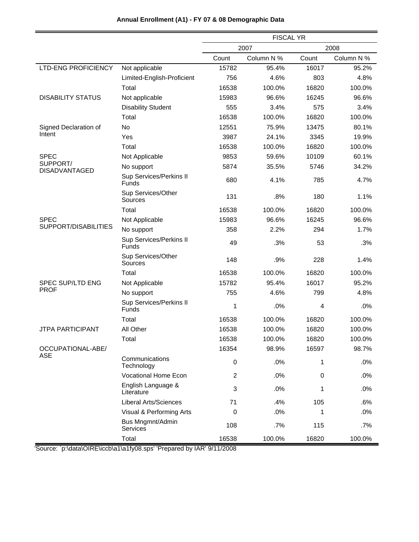|                            |                                                                                                 | <b>FISCAL YR</b> |                                                                                                                                       |       |            |  |
|----------------------------|-------------------------------------------------------------------------------------------------|------------------|---------------------------------------------------------------------------------------------------------------------------------------|-------|------------|--|
|                            |                                                                                                 |                  | 2007                                                                                                                                  |       | 2008       |  |
|                            |                                                                                                 | Count            | Column N %                                                                                                                            | Count | Column N % |  |
| <b>LTD-ENG PROFICIENCY</b> | Not applicable                                                                                  | 15782            | 95.4%                                                                                                                                 | 16017 | 95.2%      |  |
|                            | Limited-English-Proficient                                                                      | 756              | 4.6%                                                                                                                                  | 803   | 4.8%       |  |
|                            | Total                                                                                           | 16538            | 100.0%                                                                                                                                | 16820 | 100.0%     |  |
| <b>DISABILITY STATUS</b>   | Not applicable                                                                                  | 15983            | 96.6%                                                                                                                                 | 16245 | 96.6%      |  |
|                            | <b>Disability Student</b>                                                                       | 555              | 3.4%                                                                                                                                  | 575   | 3.4%       |  |
|                            | Total                                                                                           | 16538            | 100.0%                                                                                                                                | 16820 | 100.0%     |  |
| Signed Declaration of      | No                                                                                              | 12551            | 75.9%                                                                                                                                 | 13475 | 80.1%      |  |
| Intent                     | Yes                                                                                             | 3987             | 24.1%                                                                                                                                 | 3345  | 19.9%      |  |
|                            | Total                                                                                           | 16538            | 100.0%                                                                                                                                | 16820 | 100.0%     |  |
| <b>SPEC</b>                | Not Applicable                                                                                  | 9853             | 59.6%                                                                                                                                 | 10109 | 60.1%      |  |
| SUPPORT/<br>DISADVANTAGED  | No support                                                                                      | 5874             | 35.5%                                                                                                                                 | 5746  | 34.2%      |  |
|                            | Sup Services/Perkins II<br><b>Funds</b>                                                         | 680              | 4.1%                                                                                                                                  | 785   | 4.7%       |  |
|                            | Sup Services/Other<br>Sources                                                                   | 131              | .8%                                                                                                                                   | 180   | 1.1%       |  |
|                            | Total                                                                                           | 16538            | 100.0%                                                                                                                                | 16820 | 100.0%     |  |
| <b>SPEC</b>                | Not Applicable                                                                                  | 15983            | 96.6%                                                                                                                                 | 16245 | 96.6%      |  |
| SUPPORT/DISABILITIES       | No support                                                                                      | 358              | 2.2%                                                                                                                                  | 294   | 1.7%       |  |
|                            | Sup Services/Perkins II<br><b>Funds</b>                                                         | 49               | .3%                                                                                                                                   | 53    | .3%        |  |
|                            | Sup Services/Other<br>Sources                                                                   | 148              | .9%                                                                                                                                   | 228   | 1.4%       |  |
|                            | Total                                                                                           | 16538            | 100.0%                                                                                                                                | 16820 | 100.0%     |  |
| SPEC SUP/LTD ENG           | Not Applicable                                                                                  | 15782            | 95.4%                                                                                                                                 | 16017 | 95.2%      |  |
| <b>PROF</b>                | No support                                                                                      | 755              | 4.6%                                                                                                                                  | 799   | 4.8%       |  |
|                            | Sup Services/Perkins II<br><b>Funds</b>                                                         | 1                | .0%<br>100.0%<br>100.0%<br>100.0%<br>98.9%<br>0<br>.0%<br>$\overline{2}$<br>.0%<br>3<br>.0%<br>.4%<br>71<br>.0%<br>0<br>.7%<br>100.0% | 4     | .0%        |  |
|                            | Total                                                                                           | 16538            |                                                                                                                                       | 16820 | 100.0%     |  |
| <b>JTPA PARTICIPANT</b>    | All Other                                                                                       | 16538            |                                                                                                                                       | 16820 | 100.0%     |  |
|                            | Total                                                                                           | 16538            |                                                                                                                                       | 16820 | 100.0%     |  |
| OCCUPATIONAL-ABE/          |                                                                                                 | 16354            |                                                                                                                                       | 16597 | 98.7%      |  |
| ASE                        | Communications<br>Technology<br><b>Vocational Home Econ</b><br>English Language &<br>Literature |                  |                                                                                                                                       | 1     | .0%        |  |
|                            |                                                                                                 |                  |                                                                                                                                       | 0     | .0%        |  |
|                            |                                                                                                 |                  |                                                                                                                                       | 1     | .0%        |  |
|                            | <b>Liberal Arts/Sciences</b>                                                                    |                  |                                                                                                                                       | 105   | .6%        |  |
|                            | Visual & Performing Arts                                                                        |                  |                                                                                                                                       | 1     | .0%        |  |
|                            | Bus Mngmnt/Admin<br>Services                                                                    | 108              |                                                                                                                                       | 115   | .7%        |  |
|                            | Total                                                                                           | 16538            |                                                                                                                                       | 16820 | 100.0%     |  |

# **Annual Enrollment (A1) - FY 07 & 08 Demographic Data**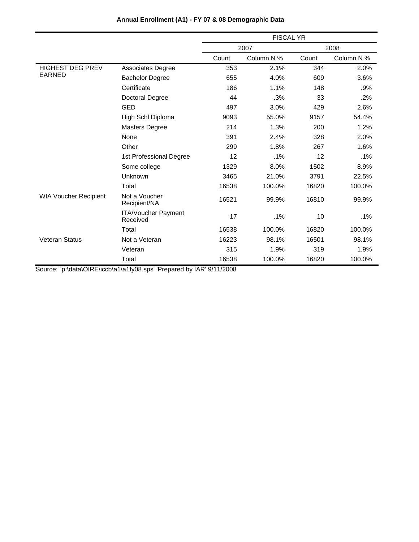|                              |                                        | <b>FISCAL YR</b> |            |       |            |
|------------------------------|----------------------------------------|------------------|------------|-------|------------|
|                              |                                        |                  | 2007       |       | 2008       |
|                              |                                        | Count            | Column N % | Count | Column N % |
| <b>HIGHEST DEG PREV</b>      | Associates Degree                      | 353              | 2.1%       | 344   | 2.0%       |
| <b>EARNED</b>                | <b>Bachelor Degree</b>                 | 655              | 4.0%       | 609   | 3.6%       |
|                              | Certificate                            | 186              | 1.1%       | 148   | .9%        |
|                              | Doctoral Degree                        | 44               | .3%        | 33    | .2%        |
|                              | GED                                    | 497              | 3.0%       | 429   | 2.6%       |
|                              | High Schl Diploma                      | 9093             | 55.0%      | 9157  | 54.4%      |
|                              | <b>Masters Degree</b>                  | 214              | 1.3%       | 200   | 1.2%       |
|                              | None                                   | 391              | 2.4%       | 328   | 2.0%       |
|                              | Other                                  | 299              | 1.8%       | 267   | 1.6%       |
|                              | 1st Professional Degree                | 12               | .1%        | 12    | .1%        |
|                              | Some college                           | 1329             | 8.0%       | 1502  | 8.9%       |
|                              | Unknown                                | 3465             | 21.0%      | 3791  | 22.5%      |
|                              | Total                                  | 16538            | 100.0%     | 16820 | 100.0%     |
| <b>WIA Voucher Recipient</b> | Not a Voucher<br>Recipient/NA          | 16521            | 99.9%      | 16810 | 99.9%      |
|                              | <b>ITA/Voucher Payment</b><br>Received | 17               | .1%        | 10    | $.1\%$     |
|                              | Total                                  | 16538            | 100.0%     | 16820 | 100.0%     |
| <b>Veteran Status</b>        | Not a Veteran                          | 16223            | 98.1%      | 16501 | 98.1%      |
|                              | Veteran                                | 315              | 1.9%       | 319   | 1.9%       |
|                              | Total                                  | 16538            | 100.0%     | 16820 | 100.0%     |

# **Annual Enrollment (A1) - FY 07 & 08 Demographic Data**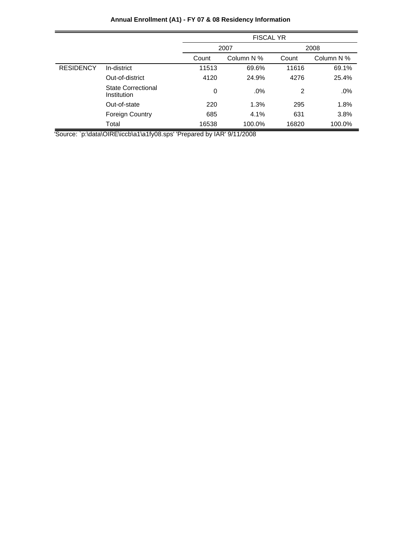|                  |                                          | <b>FISCAL YR</b> |            |       |            |
|------------------|------------------------------------------|------------------|------------|-------|------------|
|                  |                                          |                  | 2007       |       | 2008       |
|                  |                                          | Count            | Column N % | Count | Column N % |
| <b>RESIDENCY</b> | In-district                              | 11513            | 69.6%      | 11616 | 69.1%      |
|                  | Out-of-district                          | 4120             | 24.9%      | 4276  | 25.4%      |
|                  | <b>State Correctional</b><br>Institution | 0                | $.0\%$     | 2     | .0%        |
|                  | Out-of-state                             | 220              | 1.3%       | 295   | 1.8%       |
|                  | <b>Foreign Country</b>                   | 685              | 4.1%       | 631   | 3.8%       |
|                  | Total                                    | 16538            | 100.0%     | 16820 | 100.0%     |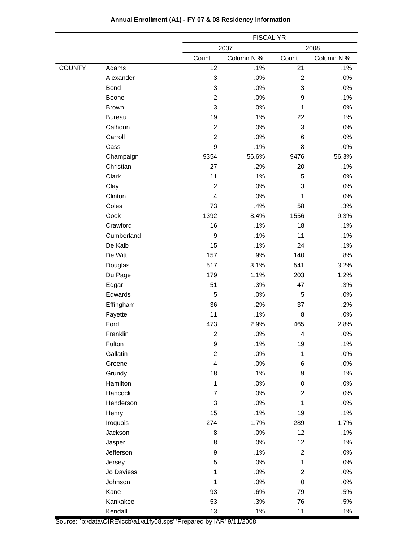|               |               |                         | <b>FISCAL YR</b> |                |            |  |
|---------------|---------------|-------------------------|------------------|----------------|------------|--|
|               |               |                         | 2007             |                | 2008       |  |
|               |               | Count                   | Column N %       | Count          | Column N % |  |
| <b>COUNTY</b> | Adams         | 12                      | .1%              | 21             | .1%        |  |
|               | Alexander     | 3                       | .0%              | $\overline{c}$ | .0%        |  |
|               | <b>Bond</b>   | 3                       | .0%              | 3              | $.0\%$     |  |
|               | Boone         | $\overline{c}$          | .0%              | 9              | .1%        |  |
|               | <b>Brown</b>  | 3                       | .0%              | $\mathbf{1}$   | .0%        |  |
|               | <b>Bureau</b> | 19                      | .1%              | 22             | .1%        |  |
|               | Calhoun       | $\overline{2}$          | .0%              | 3              | .0%        |  |
|               | Carroll       | $\overline{2}$          | .0%              | 6              | $.0\%$     |  |
|               | Cass          | 9                       | .1%              | 8              | .0%        |  |
|               | Champaign     | 9354                    | 56.6%            | 9476           | 56.3%      |  |
|               | Christian     | 27                      | .2%              | 20             | .1%        |  |
|               | Clark         | 11                      | .1%              | 5              | .0%        |  |
|               | Clay          | $\overline{2}$          | .0%              | 3              | $.0\%$     |  |
|               | Clinton       | 4                       | .0%              | 1              | .0%        |  |
|               | Coles         | 73                      | .4%              | 58             | .3%        |  |
|               | Cook          | 1392                    | 8.4%             | 1556           | 9.3%       |  |
|               | Crawford      | 16                      | .1%              | 18             | .1%        |  |
|               | Cumberland    | $\mathsf g$             | .1%              | 11             | .1%        |  |
|               | De Kalb       | 15                      | .1%              | 24             | .1%        |  |
|               | De Witt       | 157                     | .9%              | 140            | .8%        |  |
|               | Douglas       | 517                     | 3.1%             | 541            | 3.2%       |  |
|               | Du Page       | 179                     | 1.1%             | 203            | 1.2%       |  |
|               | Edgar         | 51                      | .3%              | 47             | .3%        |  |
|               | Edwards       | 5                       | .0%              | 5              | .0%        |  |
|               | Effingham     | 36                      | .2%              | 37             | .2%        |  |
|               | Fayette       | 11                      | .1%              | 8              | .0%        |  |
|               | Ford          | 473                     | 2.9%             | 465            | 2.8%       |  |
|               | Franklin      | $\overline{c}$          | .0%              | 4              | .0%        |  |
|               | Fulton        | 9                       | .1%              | 19             | .1%        |  |
|               | Gallatin      | $\overline{c}$          | .0%              | 1              | .0%        |  |
|               | Greene        | $\overline{\mathbf{4}}$ | .0%              | 6              | .0%        |  |
|               | Grundy        | 18                      | .1%              | 9              | .1%        |  |
|               | Hamilton      | $\mathbf{1}$            | $.0\%$           | $\pmb{0}$      | $.0\%$     |  |
|               | Hancock       | $\overline{7}$          | .0%              | $\overline{2}$ | .0%        |  |
|               | Henderson     | 3                       | .0%              | 1              | .0%        |  |
|               | Henry         | 15                      | .1%              | 19             | .1%        |  |
|               | Iroquois      | 274                     | 1.7%             | 289            | 1.7%       |  |
|               | Jackson       | 8                       | .0%              | 12             | .1%        |  |
|               | Jasper        | 8                       | .0%              | 12             | .1%        |  |
|               | Jefferson     | 9                       | .1%              | $\overline{2}$ | .0%        |  |
|               | Jersey        | 5                       | .0%              | $\mathbf 1$    | $.0\%$     |  |
|               | Jo Daviess    | $\mathbf{1}$            | .0%              | $\overline{2}$ | .0%        |  |
|               | Johnson       | $\mathbf{1}$            | $.0\%$           | $\pmb{0}$      | .0%        |  |
|               | Kane          | 93                      | .6%              | 79             | .5%        |  |
|               | Kankakee      | 53                      | .3%              | 76             | .5%        |  |
|               | Kendall       | 13                      | .1%              | 11             | .1%        |  |

÷

# **Annual Enrollment (A1) - FY 07 & 08 Residency Information**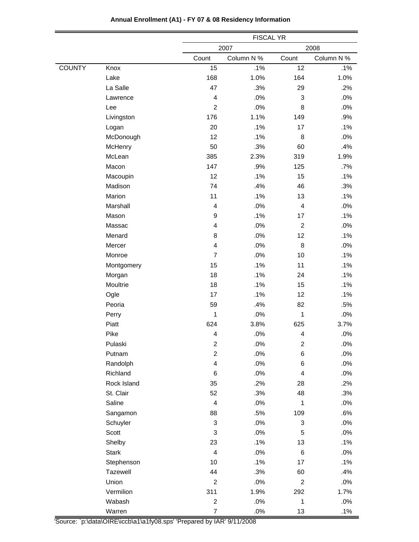|               |              |                          | <b>FISCAL YR</b> |                         |            |  |
|---------------|--------------|--------------------------|------------------|-------------------------|------------|--|
|               |              |                          | 2007             |                         | 2008       |  |
|               |              | Count                    | Column N %       | Count                   | Column N % |  |
| <b>COUNTY</b> | Knox         | 15                       | .1%              | 12                      | .1%        |  |
|               | Lake         | 168                      | 1.0%             | 164                     | 1.0%       |  |
|               | La Salle     | 47                       | .3%              | 29                      | .2%        |  |
|               | Lawrence     | $\overline{4}$           | .0%              | 3                       | .0%        |  |
|               | Lee          | $\overline{2}$           | .0%              | 8                       | .0%        |  |
|               | Livingston   | 176                      | 1.1%             | 149                     | .9%        |  |
|               | Logan        | 20                       | .1%              | 17                      | .1%        |  |
|               | McDonough    | 12                       | .1%              | 8                       | $.0\%$     |  |
|               | McHenry      | 50                       | .3%              | 60                      | .4%        |  |
|               | McLean       | 385                      | 2.3%             | 319                     | 1.9%       |  |
|               | Macon        | 147                      | .9%              | 125                     | $.7\%$     |  |
|               | Macoupin     | 12                       | .1%              | 15                      | .1%        |  |
|               | Madison      | 74                       | .4%              | 46                      | .3%        |  |
|               | Marion       | 11                       | .1%              | 13                      | .1%        |  |
|               | Marshall     | $\overline{4}$           | .0%              | $\overline{4}$          | .0%        |  |
|               | Mason        | $\boldsymbol{9}$         | .1%              | 17                      | .1%        |  |
|               | Massac       | $\overline{4}$           | .0%              | $\overline{c}$          | .0%        |  |
|               | Menard       | 8                        | .0%              | 12                      | .1%        |  |
|               | Mercer       | 4                        | .0%              | 8                       | .0%        |  |
|               | Monroe       | $\overline{7}$           | .0%              | 10                      | .1%        |  |
|               | Montgomery   | 15                       | .1%              | 11                      | .1%        |  |
|               | Morgan       | 18                       | .1%              | 24                      | .1%        |  |
|               | Moultrie     | 18                       | .1%              | 15                      | .1%        |  |
|               | Ogle         | 17                       | .1%              | 12                      | .1%        |  |
|               | Peoria       | 59                       | .4%              | 82                      | .5%        |  |
|               | Perry        | 1                        | .0%              | 1                       | .0%        |  |
|               | Piatt        | 624                      | 3.8%             | 625                     | 3.7%       |  |
|               | Pike         | $\overline{\mathcal{L}}$ | .0%              | $\overline{\mathbf{4}}$ | $.0\%$     |  |
|               | Pulaski      | 2                        | .0%              | 2                       | .0%        |  |
|               | Putnam       | $\overline{c}$           | .0%              | 6                       | .0%        |  |
|               | Randolph     | $\overline{\mathbf{4}}$  | .0%              | 6                       | $.0\%$     |  |
|               | Richland     | 6                        | .0%              | 4                       | $.0\%$     |  |
|               | Rock Island  | 35                       | .2%              | 28                      | .2%        |  |
|               | St. Clair    | 52                       | .3%              | 48                      | .3%        |  |
|               | Saline       | $\overline{4}$           | .0%              | 1                       | .0%        |  |
|               | Sangamon     | 88                       | .5%              | 109                     | .6%        |  |
|               | Schuyler     | 3                        | .0%              | 3                       | $.0\%$     |  |
|               | Scott        | 3                        | $.0\%$           | 5                       | $.0\%$     |  |
|               | Shelby       | 23                       | .1%              | 13                      | .1%        |  |
|               | <b>Stark</b> | $\overline{4}$           | .0%              | 6                       | .0%        |  |
|               | Stephenson   | 10 <sup>1</sup>          | .1%              | 17                      | .1%        |  |
|               | Tazewell     | 44                       | .3%              | 60                      | .4%        |  |
|               | Union        | $\overline{2}$           | $.0\%$           | $\overline{2}$          | $.0\%$     |  |
|               | Vermilion    | 311                      | 1.9%             | 292                     | 1.7%       |  |
|               | Wabash       | $\mathbf{2}$             | .0%              | $\mathbf{1}$            | $.0\%$     |  |
|               | Warren       | $\overline{7}$           | .0%              | 13                      | .1%        |  |

÷

# **Annual Enrollment (A1) - FY 07 & 08 Residency Information**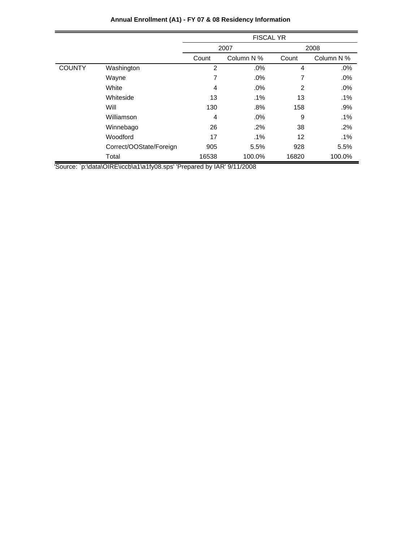|               |                         |       | <b>FISCAL YR</b> |       |            |
|---------------|-------------------------|-------|------------------|-------|------------|
|               |                         |       | 2007             |       | 2008       |
|               |                         | Count | Column N %       | Count | Column N % |
| <b>COUNTY</b> | Washington              | 2     | .0%              | 4     | .0%        |
|               | Wayne                   | 7     | .0%              | 7     | .0%        |
|               | White                   | 4     | $.0\%$           | 2     | .0%        |
|               | Whiteside               | 13    | .1%              | 13    | .1%        |
|               | Will                    | 130   | .8%              | 158   | .9%        |
|               | Williamson              | 4     | .0%              | 9     | .1%        |
|               | Winnebago               | 26    | .2%              | 38    | $.2\%$     |
|               | Woodford                | 17    | $.1\%$           | 12    | $.1\%$     |
|               | Correct/OOState/Foreign | 905   | 5.5%             | 928   | 5.5%       |
|               | Total                   | 16538 | 100.0%           | 16820 | 100.0%     |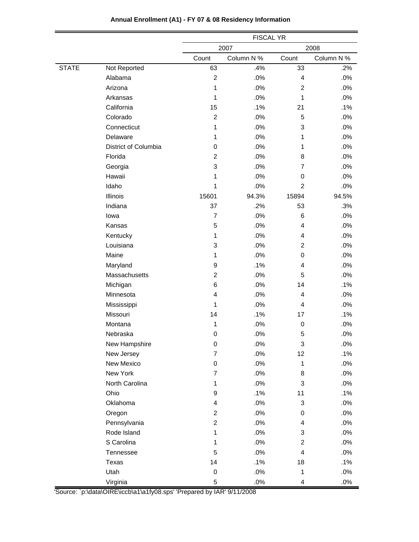|              |                      | <b>FISCAL YR</b>        |            |                |            |
|--------------|----------------------|-------------------------|------------|----------------|------------|
|              |                      |                         | 2007       |                | 2008       |
|              |                      | Count                   | Column N % | Count          | Column N % |
| <b>STATE</b> | Not Reported         | 63                      | .4%        | 33             | .2%        |
|              | Alabama              | $\overline{c}$          | .0%        | $\overline{4}$ | .0%        |
|              | Arizona              | 1                       | .0%        | $\overline{2}$ | .0%        |
|              | Arkansas             | $\mathbf{1}$            | .0%        | 1              | .0%        |
|              | California           | 15                      | .1%        | 21             | .1%        |
|              | Colorado             | $\overline{c}$          | .0%        | 5              | .0%        |
|              | Connecticut          | $\mathbf{1}$            | .0%        | 3              | .0%        |
|              | Delaware             | 1                       | .0%        | 1              | .0%        |
|              | District of Columbia | 0                       | .0%        | 1              | .0%        |
|              | Florida              | $\overline{c}$          | .0%        | 8              | .0%        |
|              | Georgia              | 3                       | .0%        | $\overline{7}$ | .0%        |
|              | Hawaii               | 1                       | .0%        | 0              | .0%        |
|              | Idaho                | 1                       | .0%        | $\overline{2}$ | .0%        |
|              | Illinois             | 15601                   | 94.3%      | 15894          | 94.5%      |
|              | Indiana              | 37                      | .2%        | 53             | .3%        |
|              | lowa                 | $\overline{7}$          | .0%        | 6              | .0%        |
|              | Kansas               | 5                       | .0%        | 4              | .0%        |
|              | Kentucky             | 1                       | .0%        | 4              | .0%        |
|              | Louisiana            | 3                       | .0%        | $\overline{2}$ | .0%        |
|              | Maine                | 1                       | .0%        | 0              | .0%        |
|              | Maryland             | 9                       | .1%        | 4              | .0%        |
|              | Massachusetts        | $\overline{c}$          | .0%        | 5              | .0%        |
|              | Michigan             | 6                       | .0%        | 14             | .1%        |
|              | Minnesota            | 4                       | .0%        | 4              | .0%        |
|              | Mississippi          | 1                       | .0%        | 4              | .0%        |
|              | Missouri             | 14                      | .1%        | 17             | .1%        |
|              | Montana              | 1                       | .0%        | 0              | .0%        |
|              | Nebraska             | 0                       | .0%        | 5              | .0%        |
|              | New Hampshire        | 0                       | $.0\%$     | 3              | .0%        |
|              | New Jersey           | $\overline{7}$          | .0%        | 12             | .1%        |
|              | New Mexico           | 0                       | .0%        | $\mathbf{1}$   | .0%        |
|              | New York             | $\overline{7}$          | .0%        | 8              | .0%        |
|              | North Carolina       | $\mathbf{1}$            | .0%        | 3              | .0%        |
|              | Ohio                 | 9                       | .1%        | 11             | .1%        |
|              | Oklahoma             | $\overline{\mathbf{4}}$ | .0%        | 3              | .0%        |
|              | Oregon               | $\overline{2}$          | .0%        | 0              | .0%        |
|              | Pennsylvania         | $\overline{c}$          | .0%        | 4              | .0%        |
|              | Rode Island          | 1                       | .0%        | 3              | .0%        |
|              | S Carolina           | $\mathbf 1$             | .0%        | $\overline{2}$ | .0%        |
|              | Tennessee            | 5                       | .0%        | 4              | .0%        |
|              | Texas                | 14                      | .1%        | 18             | .1%        |
|              | Utah                 | $\boldsymbol{0}$        | .0%        | 1              | .0%        |
|              | Virginia             | 5                       | $.0\%$     | 4              | $.0\%$     |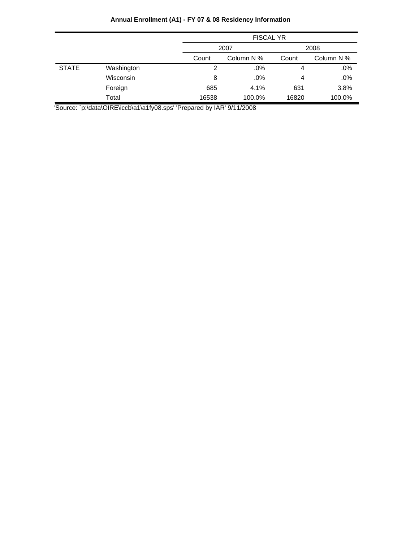|              |            |       | <b>FISCAL YR</b> |       |            |  |
|--------------|------------|-------|------------------|-------|------------|--|
|              |            |       | 2007             |       | 2008       |  |
|              |            | Count | Column N %       | Count | Column N % |  |
| <b>STATE</b> | Washington | 2     | .0%              | 4     | .0%        |  |
|              | Wisconsin  | 8     | .0%              | 4     | .0%        |  |
|              | Foreign    | 685   | 4.1%             | 631   | 3.8%       |  |
|              | Total      | 16538 | 100.0%           | 16820 | 100.0%     |  |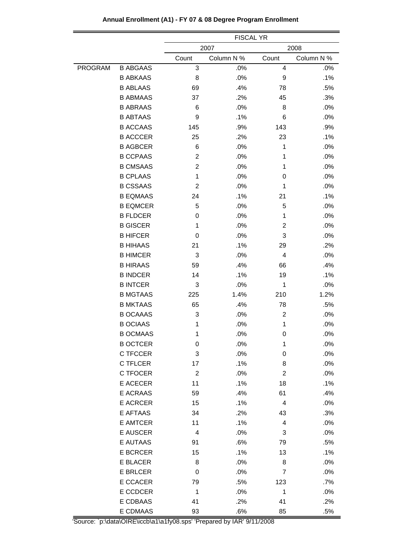|                |                 | <b>FISCAL YR</b>        |            |                |            |  |
|----------------|-----------------|-------------------------|------------|----------------|------------|--|
|                |                 |                         | 2007       |                | 2008       |  |
|                |                 | Count                   | Column N % | Count          | Column N % |  |
| <b>PROGRAM</b> | <b>B ABGAAS</b> | 3                       | .0%        | 4              | .0%        |  |
|                | <b>B ABKAAS</b> | 8                       | .0%        | 9              | .1%        |  |
|                | <b>B ABLAAS</b> | 69                      | .4%        | 78             | .5%        |  |
|                | <b>B ABMAAS</b> | 37                      | .2%        | 45             | .3%        |  |
|                | <b>B ABRAAS</b> | 6                       | .0%        | 8              | .0%        |  |
|                | <b>B ABTAAS</b> | 9                       | .1%        | 6              | .0%        |  |
|                | <b>B ACCAAS</b> | 145                     | .9%        | 143            | .9%        |  |
|                | <b>B ACCCER</b> | 25                      | .2%        | 23             | .1%        |  |
|                | <b>B AGBCER</b> | 6                       | .0%        | 1              | .0%        |  |
|                | <b>B CCPAAS</b> | $\overline{2}$          | .0%        | 1              | .0%        |  |
|                | <b>B CMSAAS</b> | $\overline{c}$          | .0%        | 1              | .0%        |  |
|                | <b>B CPLAAS</b> | 1                       | .0%        | 0              | .0%        |  |
|                | <b>B CSSAAS</b> | $\overline{2}$          | .0%        | 1              | .0%        |  |
|                | <b>B EQMAAS</b> | 24                      | .1%        | 21             | .1%        |  |
|                | <b>B EQMCER</b> | 5                       | .0%        | 5              | .0%        |  |
|                | <b>B FLDCER</b> | 0                       | .0%        | 1              | .0%        |  |
|                | <b>B GISCER</b> | 1                       | .0%        | $\overline{2}$ | .0%        |  |
|                | <b>B HIFCER</b> | 0                       | .0%        | 3              | .0%        |  |
|                | <b>B HIHAAS</b> | 21                      | .1%        | 29             | .2%        |  |
|                | <b>B HIMCER</b> | 3                       | .0%        | 4              | .0%        |  |
|                | <b>B HIRAAS</b> | 59                      | .4%        | 66             | .4%        |  |
|                | <b>B INDCER</b> | 14                      | .1%        | 19             | .1%        |  |
|                | <b>B INTCER</b> | 3                       | .0%        | 1              | .0%        |  |
|                | <b>B MGTAAS</b> | 225                     | 1.4%       | 210            | 1.2%       |  |
|                | <b>B MKTAAS</b> | 65                      | .4%        | 78             | .5%        |  |
|                | <b>B OCAAAS</b> | 3                       | .0%        | $\overline{c}$ | .0%        |  |
|                | <b>B OCIAAS</b> | 1                       | .0%        | 1              | .0%        |  |
|                | <b>B OCMAAS</b> | 1                       | .0%        | 0              | .0%        |  |
|                | <b>B OCTCER</b> | 0                       | .0%        | 1              | .0%        |  |
|                | C TFCCER        | 3                       | .0%        | 0              | .0%        |  |
|                | C TFLCER        | 17                      | .1%        | 8              | .0%        |  |
|                | C TFOCER        | $\overline{c}$          | .0%        | 2              | .0%        |  |
|                | E ACECER        | 11                      | .1%        | 18             | .1%        |  |
|                | E ACRAAS        | 59                      | .4%        | 61             | .4%        |  |
|                | <b>E ACRCER</b> | 15                      | .1%        | 4              | .0%        |  |
|                | E AFTAAS        | 34                      | .2%        | 43             | .3%        |  |
|                | E AMTCER        | 11                      | .1%        | 4              | .0%        |  |
|                | E AUSCER        | $\overline{\mathbf{4}}$ | .0%        | 3              | .0%        |  |
|                | E AUTAAS        | 91                      | .6%        | 79             | .5%        |  |
|                | <b>E BCRCER</b> | 15                      | .1%        | 13             | .1%        |  |
|                | E BLACER        | 8                       | .0%        | 8              | .0%        |  |
|                | E BRLCER        | 0                       | .0%        | 7              | .0%        |  |
|                | E CCACER        | 79                      | .5%        | 123            | $.7\%$     |  |
|                | E CCDCER        | 1                       | .0%        | 1              | .0%        |  |
|                | E CDBAAS        | 41                      | .2%        | 41             | .2%        |  |
|                | E CDMAAS        | 93                      | .6%        | 85             | .5%        |  |

# **Annual Enrollment (A1) - FY 07 & 08 Degree Program Enrollment**

'Source: `p:\data\OIRE\iccb\a1\a1fy08.sps' 'Prepared by IAR' 9/11/2008

=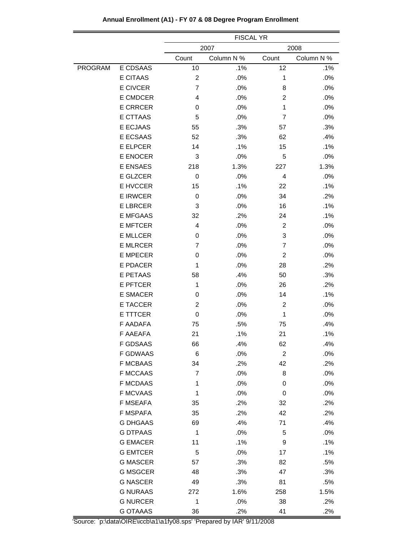|         |                 | <b>FISCAL YR</b> |            |                |            |  |
|---------|-----------------|------------------|------------|----------------|------------|--|
|         |                 | 2007<br>2008     |            |                |            |  |
|         |                 | Count            | Column N % | Count          | Column N % |  |
| PROGRAM | E CDSAAS        | 10               | .1%        | 12             | .1%        |  |
|         | <b>E CITAAS</b> | $\overline{c}$   | .0%        | 1              | .0%        |  |
|         | <b>E CIVCER</b> | $\overline{7}$   | .0%        | 8              | .0%        |  |
|         | E CMDCER        | 4                | .0%        | $\overline{2}$ | .0%        |  |
|         | <b>E CRRCER</b> | 0                | .0%        | $\mathbf{1}$   | .0%        |  |
|         | <b>E CTTAAS</b> | 5                | .0%        | 7              | .0%        |  |
|         | E ECJAAS        | 55               | .3%        | 57             | .3%        |  |
|         | E ECSAAS        | 52               | .3%        | 62             | .4%        |  |
|         | E ELPCER        | 14               | .1%        | 15             | .1%        |  |
|         | <b>E ENOCER</b> | 3                | .0%        | 5              | .0%        |  |
|         | <b>E ENSAES</b> | 218              | 1.3%       | 227            | 1.3%       |  |
|         | E GLZCER        | 0                | .0%        | 4              | .0%        |  |
|         | E HVCCER        | 15               | .1%        | 22             | .1%        |  |
|         | <b>E IRWCER</b> | 0                | .0%        | 34             | .2%        |  |
|         | <b>E LBRCER</b> | 3                | .0%        | 16             | .1%        |  |
|         | <b>E MFGAAS</b> | 32               | .2%        | 24             | .1%        |  |
|         | <b>E MFTCER</b> | $\overline{4}$   | .0%        | 2              | .0%        |  |
|         | <b>E MLLCER</b> | 0                | .0%        | 3              | .0%        |  |
|         | <b>E MLRCER</b> | $\overline{7}$   | .0%        | $\overline{7}$ | .0%        |  |
|         | <b>E MPECER</b> | 0                | .0%        | $\overline{c}$ | .0%        |  |
|         | E PDACER        | $\mathbf{1}$     | .0%        | 28             | .2%        |  |
|         | <b>E PETAAS</b> | 58               | .4%        | 50             | .3%        |  |
|         | <b>E PFTCER</b> | $\mathbf{1}$     | .0%        | 26             | .2%        |  |
|         | <b>E SMACER</b> | 0                | .0%        | 14             | .1%        |  |
|         | E TACCER        | $\overline{2}$   | .0%        | $\overline{c}$ | .0%        |  |
|         | E TTTCER        | 0                | .0%        | 1              | .0%        |  |
|         | F AADAFA        | 75               | .5%        | 75             | .4%        |  |
|         | <b>F AAEAFA</b> | 21               | .1%        | 21             | .1%        |  |
|         | F GDSAAS        | 66               | .4%        | 62             | .4%        |  |
|         | <b>F GDWAAS</b> | 6                | .0%        | $\overline{c}$ | .0%        |  |
|         | <b>F MCBAAS</b> | 34               | .2%        | 42             | .2%        |  |
|         | <b>F MCCAAS</b> | 7                | .0%        | 8              | .0%        |  |
|         | <b>F MCDAAS</b> | 1                | .0%        | 0              | .0%        |  |
|         | <b>F MCVAAS</b> | $\mathbf{1}$     | .0%        | 0              | .0%        |  |
|         | F MSEAFA        | 35               | .2%        | 32             | .2%        |  |
|         | F MSPAFA        | 35               | .2%        | 42             | .2%        |  |
|         | <b>G DHGAAS</b> | 69               | .4%        | 71             | .4%        |  |
|         | <b>G DTPAAS</b> | 1                | .0%        | 5              | .0%        |  |
|         | <b>G EMACER</b> | 11               | .1%        | 9              | .1%        |  |
|         | <b>G EMTCER</b> | 5                | .0%        | 17             | .1%        |  |
|         | <b>G MASCER</b> | 57               | .3%        | 82             | .5%        |  |
|         | <b>G MSGCER</b> | 48               | .3%        | 47             | .3%        |  |
|         | <b>G NASCER</b> | 49               | .3%        | 81             | .5%        |  |
|         | <b>G NURAAS</b> | 272              | 1.6%       | 258            | 1.5%       |  |
|         | <b>G NURCER</b> | 1                | .0%        | 38             | .2%        |  |
|         | <b>G OTAAAS</b> | 36               | $.2\%$     | 41             | .2%        |  |

# **Annual Enrollment (A1) - FY 07 & 08 Degree Program Enrollment**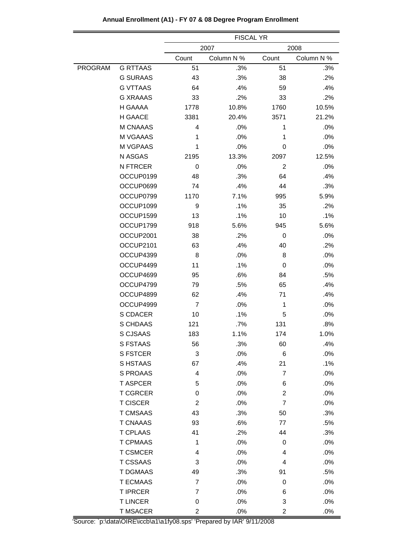|                |                 | <b>FISCAL YR</b>        |            |                         |            |  |
|----------------|-----------------|-------------------------|------------|-------------------------|------------|--|
|                |                 |                         | 2007       |                         | 2008       |  |
|                |                 | Count                   | Column N % | Count                   | Column N % |  |
| <b>PROGRAM</b> | <b>G RTTAAS</b> | 51                      | .3%        | 51                      | .3%        |  |
|                | <b>G SURAAS</b> | 43                      | .3%        | 38                      | .2%        |  |
|                | <b>G VTTAAS</b> | 64                      | .4%        | 59                      | .4%        |  |
|                | <b>G XRAAAS</b> | 33                      | .2%        | 33                      | .2%        |  |
|                | H GAAAA         | 1778                    | 10.8%      | 1760                    | 10.5%      |  |
|                | H GAACE         | 3381                    | 20.4%      | 3571                    | 21.2%      |  |
|                | M CNAAAS        | 4                       | .0%        | 1                       | .0%        |  |
|                | M VGAAAS        | 1                       | .0%        | 1                       | .0%        |  |
|                | M VGPAAS        | 1                       | .0%        | 0                       | .0%        |  |
|                | N ASGAS         | 2195                    | 13.3%      | 2097                    | 12.5%      |  |
|                | N FTRCER        | 0                       | .0%        | 2                       | .0%        |  |
|                | OCCUP0199       | 48                      | .3%        | 64                      | .4%        |  |
|                | OCCUP0699       | 74                      | .4%        | 44                      | .3%        |  |
|                | OCCUP0799       | 1170                    | 7.1%       | 995                     | 5.9%       |  |
|                | OCCUP1099       | 9                       | .1%        | 35                      | .2%        |  |
|                | OCCUP1599       | 13                      | .1%        | 10                      | .1%        |  |
|                | OCCUP1799       | 918                     | 5.6%       | 945                     | 5.6%       |  |
|                | OCCUP2001       | 38                      | .2%        | 0                       | .0%        |  |
|                | OCCUP2101       | 63                      | .4%        | 40                      | .2%        |  |
|                | OCCUP4399       | 8                       | .0%        | 8                       | .0%        |  |
|                | OCCUP4499       | 11                      | .1%        | 0                       | .0%        |  |
|                | OCCUP4699       | 95                      | .6%        | 84                      | .5%        |  |
|                | OCCUP4799       | 79                      | .5%        | 65                      | .4%        |  |
|                | OCCUP4899       | 62                      | .4%        | 71                      | .4%        |  |
|                | OCCUP4999       | $\overline{7}$          | .0%        | 1                       | $.0\%$     |  |
|                | S CDACER        | 10                      | .1%        | 5                       | .0%        |  |
|                | S CHDAAS        | 121                     | .7%        | 131                     | .8%        |  |
|                | S CJSAAS        | 183                     | 1.1%       | 174                     | 1.0%       |  |
|                | <b>S FSTAAS</b> | 56                      | .3%        | 60                      | .4%        |  |
|                | <b>S FSTCER</b> | 3                       | .0%        | $\,6$                   | .0%        |  |
|                | S HSTAAS        | 67                      | .4%        | 21                      | .1%        |  |
|                | S PROAAS        | 4                       | .0%        | $\overline{7}$          | .0%        |  |
|                | <b>T ASPCER</b> | 5                       | .0%        | 6                       | .0%        |  |
|                | <b>T CGRCER</b> | 0                       | .0%        | $\overline{c}$          | .0%        |  |
|                | <b>T CISCER</b> | $\overline{\mathbf{c}}$ | .0%        | $\overline{7}$          | .0%        |  |
|                | <b>T CMSAAS</b> | 43                      | .3%        | 50                      | .3%        |  |
|                | <b>T CNAAAS</b> | 93                      | .6%        | 77                      | .5%        |  |
|                | <b>T CPLAAS</b> | 41                      | .2%        | 44                      | .3%        |  |
|                | <b>T CPMAAS</b> | $\mathbf 1$             | .0%        | 0                       | .0%        |  |
|                | <b>T CSMCER</b> | 4                       | .0%        | 4                       | .0%        |  |
|                | <b>T CSSAAS</b> | 3                       | .0%        | 4                       | .0%        |  |
|                | T DGMAAS        | 49                      | .3%        | 91                      | .5%        |  |
|                | <b>T ECMAAS</b> | $\overline{7}$          | .0%        | 0                       | .0%        |  |
|                | <b>T IPRCER</b> | 7                       | .0%        | 6                       | .0%        |  |
|                | <b>TLINCER</b>  | 0                       | .0%        | 3                       | .0%        |  |
|                | <b>T MSACER</b> | 2                       | .0%        | $\overline{\mathbf{c}}$ | .0%        |  |

**Annual Enrollment (A1) - FY 07 & 08 Degree Program Enrollment**

'Source: `p:\data\OIRE\iccb\a1\a1fy08.sps' 'Prepared by IAR' 9/11/2008

=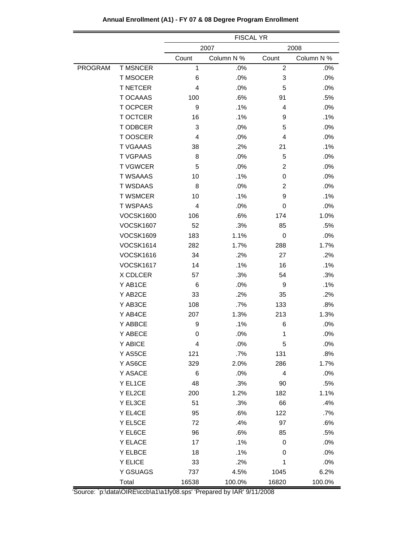|         |                  | <b>FISCAL YR</b> |            |                |            |  |  |  |
|---------|------------------|------------------|------------|----------------|------------|--|--|--|
|         |                  | 2007             |            |                | 2008       |  |  |  |
|         |                  | Count            | Column N % | Count          | Column N % |  |  |  |
| PROGRAM | <b>T MSNCER</b>  | 1                | .0%        | $\overline{c}$ | .0%        |  |  |  |
|         | T MSOCER         | 6                | .0%        | 3              | .0%        |  |  |  |
|         | <b>T NETCER</b>  | 4                | .0%        | 5              | $.0\%$     |  |  |  |
|         | <b>T OCAAAS</b>  | 100              | .6%        | 91             | .5%        |  |  |  |
|         | T OCPCER         | 9                | .1%        | 4              | .0%        |  |  |  |
|         | T OCTCER         | 16               | .1%        | 9              | .1%        |  |  |  |
|         | T ODBCER         | 3                | .0%        | 5              | .0%        |  |  |  |
|         | T OOSCER         | 4                | .0%        | 4              | .0%        |  |  |  |
|         | <b>T VGAAAS</b>  | 38               | .2%        | 21             | .1%        |  |  |  |
|         | <b>T VGPAAS</b>  | 8                | .0%        | 5              | .0%        |  |  |  |
|         | <b>T VGWCER</b>  | 5                | .0%        | $\overline{c}$ | .0%        |  |  |  |
|         | <b>T WSAAAS</b>  | 10               | .1%        | 0              | .0%        |  |  |  |
|         | <b>T WSDAAS</b>  | 8                | .0%        | $\overline{2}$ | .0%        |  |  |  |
|         | <b>T WSMCER</b>  | 10               | .1%        | 9              | .1%        |  |  |  |
|         | <b>T WSPAAS</b>  | 4                | .0%        | 0              | .0%        |  |  |  |
|         | <b>VOCSK1600</b> | 106              | .6%        | 174            | 1.0%       |  |  |  |
|         | <b>VOCSK1607</b> | 52               | .3%        | 85             | .5%        |  |  |  |
|         | <b>VOCSK1609</b> | 183              | 1.1%       | 0              | .0%        |  |  |  |
|         | <b>VOCSK1614</b> | 282              | 1.7%       | 288            | 1.7%       |  |  |  |
|         | <b>VOCSK1616</b> | 34               | .2%        | 27             | .2%        |  |  |  |
|         | <b>VOCSK1617</b> | 14               | .1%        | 16             | .1%        |  |  |  |
|         | X CDLCER         | 57               | .3%        | 54             | .3%        |  |  |  |
|         | Y AB1CE          | 6                | .0%        | 9              | $.1\%$     |  |  |  |
|         | Y AB2CE          | 33               | .2%        | 35             | .2%        |  |  |  |
|         | Y AB3CE          | 108              | .7%        | 133            | .8%        |  |  |  |
|         | Y AB4CE          | 207              | 1.3%       | 213            | 1.3%       |  |  |  |
|         | Y ABBCE          | 9                | .1%        | 6              | .0%        |  |  |  |
|         | Y ABECE          | 0                | .0%        | 1              | .0%        |  |  |  |
|         | Y ABICE          | 4                | .0%        | 5              | $.0\%$     |  |  |  |
|         | Y AS5CE          | 121              | .7%        | 131            | .8%        |  |  |  |
|         | Y AS6CE          | 329              | 2.0%       | 286            | 1.7%       |  |  |  |
|         | Y ASACE          | 6                | .0%        | 4              | .0%        |  |  |  |
|         | Y EL1CE          | 48               | .3%        | 90             | .5%        |  |  |  |
|         | Y EL2CE          | 200              | 1.2%       | 182            | 1.1%       |  |  |  |
|         | Y EL3CE          | 51               | .3%        | 66             | .4%        |  |  |  |
|         | Y EL4CE          | 95               | .6%        | 122            | .7%        |  |  |  |
|         | Y EL5CE          | 72               | .4%        | 97             | .6%        |  |  |  |
|         | Y EL6CE          | 96               | .6%        | 85             | .5%        |  |  |  |
|         | Y ELACE          | 17               | .1%        | 0              | .0%        |  |  |  |
|         | Y ELBCE          | 18               | .1%        | 0              | .0%        |  |  |  |
|         | Y ELICE          | 33               | .2%        | 1              | .0%        |  |  |  |
|         | Y GSUAGS         | 737              | 4.5%       | 1045           | 6.2%       |  |  |  |
|         | Total            | 16538            | 100.0%     | 16820          | 100.0%     |  |  |  |

# **Annual Enrollment (A1) - FY 07 & 08 Degree Program Enrollment**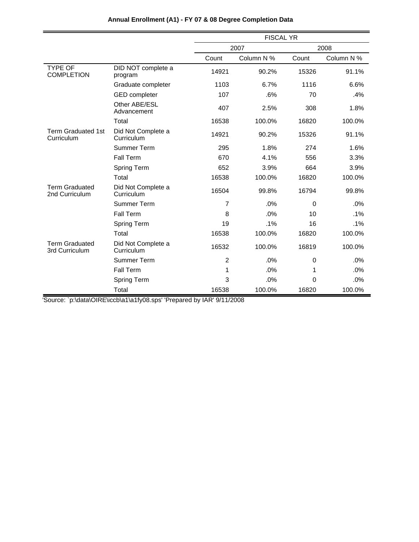|                                         |                                  |                | <b>FISCAL YR</b> |          |            |  |  |
|-----------------------------------------|----------------------------------|----------------|------------------|----------|------------|--|--|
|                                         |                                  |                | 2007             |          | 2008       |  |  |
|                                         |                                  | Count          | Column N %       | Count    | Column N % |  |  |
| <b>TYPE OF</b><br><b>COMPLETION</b>     | DID NOT complete a<br>program    | 14921          | 90.2%            | 15326    | 91.1%      |  |  |
|                                         | Graduate completer               | 1103           | 6.7%             | 1116     | 6.6%       |  |  |
|                                         | <b>GED</b> completer             | 107            | .6%              | 70       | .4%        |  |  |
|                                         | Other ABE/ESL<br>Advancement     | 407            | 2.5%             | 308      | 1.8%       |  |  |
|                                         | Total                            | 16538          | 100.0%           | 16820    | 100.0%     |  |  |
| <b>Term Graduated 1st</b><br>Curriculum | Did Not Complete a<br>Curriculum | 14921          | 90.2%            | 15326    | 91.1%      |  |  |
|                                         | <b>Summer Term</b>               | 295            | 1.8%             | 274      | 1.6%       |  |  |
|                                         | <b>Fall Term</b>                 | 670            | 4.1%             | 556      | 3.3%       |  |  |
|                                         | Spring Term                      | 652            | 3.9%             | 664      | 3.9%       |  |  |
|                                         | Total                            | 16538          | 100.0%           | 16820    | 100.0%     |  |  |
| <b>Term Graduated</b><br>2nd Curriculum | Did Not Complete a<br>Curriculum | 16504          | 99.8%            | 16794    | 99.8%      |  |  |
|                                         | Summer Term                      | 7              | .0%              | $\Omega$ | .0%        |  |  |
|                                         | <b>Fall Term</b>                 | 8              | .0%              | 10       | .1%        |  |  |
|                                         | <b>Spring Term</b>               | 19             | .1%              | 16       | .1%        |  |  |
|                                         | Total                            | 16538          | 100.0%           | 16820    | 100.0%     |  |  |
| <b>Term Graduated</b><br>3rd Curriculum | Did Not Complete a<br>Curriculum | 16532          | 100.0%           | 16819    | 100.0%     |  |  |
|                                         | <b>Summer Term</b>               | $\overline{2}$ | .0%              | 0        | .0%        |  |  |
|                                         | <b>Fall Term</b>                 | 1              | .0%              | 1        | .0%        |  |  |
|                                         | Spring Term                      | 3              | .0%              | 0        | .0%        |  |  |
|                                         | Total                            | 16538          | 100.0%           | 16820    | 100.0%     |  |  |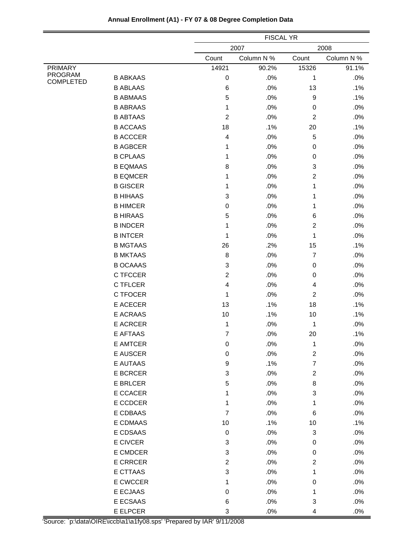|                                    |                 |                           | <b>FISCAL YR</b> |                           |            |  |
|------------------------------------|-----------------|---------------------------|------------------|---------------------------|------------|--|
|                                    |                 |                           | 2007             |                           | 2008       |  |
|                                    |                 | Count                     | Column N %       | Count                     | Column N % |  |
| <b>PRIMARY</b>                     |                 | 14921                     | 90.2%            | 15326                     | 91.1%      |  |
| <b>PROGRAM</b><br><b>COMPLETED</b> | <b>B ABKAAS</b> | 0                         | .0%              | 1                         | .0%        |  |
|                                    | <b>B ABLAAS</b> | 6                         | .0%              | 13                        | .1%        |  |
|                                    | <b>B ABMAAS</b> | 5                         | .0%              | 9                         | .1%        |  |
|                                    | <b>B ABRAAS</b> | 1                         | .0%              | 0                         | .0%        |  |
|                                    | <b>B ABTAAS</b> | $\overline{c}$            | .0%              | 2                         | .0%        |  |
|                                    | <b>B ACCAAS</b> | 18                        | .1%              | 20                        | .1%        |  |
|                                    | <b>B ACCCER</b> | 4                         | .0%              | $\sqrt{5}$                | .0%        |  |
|                                    | <b>B AGBCER</b> | 1                         | .0%              | 0                         | .0%        |  |
|                                    | <b>B CPLAAS</b> | 1                         | .0%              | 0                         | .0%        |  |
|                                    | <b>B EQMAAS</b> | 8                         | .0%              | $\ensuremath{\mathsf{3}}$ | .0%        |  |
|                                    | <b>B EQMCER</b> | 1                         | .0%              | $\overline{2}$            | .0%        |  |
|                                    | <b>B GISCER</b> | 1                         | .0%              | 1                         | .0%        |  |
|                                    | <b>B HIHAAS</b> | 3                         | .0%              | 1                         | .0%        |  |
|                                    | <b>B HIMCER</b> | 0                         | .0%              | 1                         | .0%        |  |
|                                    | <b>B HIRAAS</b> | 5                         | .0%              | $\,6$                     | .0%        |  |
|                                    | <b>B INDCER</b> | 1                         | .0%              | $\overline{c}$            | .0%        |  |
|                                    | <b>B INTCER</b> | 1                         | .0%              | 1                         | .0%        |  |
|                                    | <b>B MGTAAS</b> | 26                        | .2%              | 15                        | .1%        |  |
|                                    | <b>B MKTAAS</b> | 8                         | .0%              | $\overline{7}$            | .0%        |  |
|                                    | <b>B OCAAAS</b> | 3                         | .0%              | 0                         | .0%        |  |
|                                    | C TFCCER        | $\overline{c}$            | .0%              | 0                         | .0%        |  |
|                                    | C TFLCER        | 4                         | .0%              | 4                         | .0%        |  |
|                                    | C TFOCER        | 1                         | .0%              | 2                         | .0%        |  |
|                                    | <b>E ACECER</b> | 13                        | .1%              | 18                        | .1%        |  |
|                                    | E ACRAAS        | 10                        | .1%              | 10                        | .1%        |  |
|                                    | <b>E ACRCER</b> | 1                         | .0%              | 1                         | .0%        |  |
|                                    | <b>E AFTAAS</b> | 7                         | .0%              | 20                        | .1%        |  |
|                                    | E AMTCER        | 0                         | $.0\%$           | 1                         | $.0\%$     |  |
|                                    | E AUSCER        | $\mathbf 0$               | .0%              | $\sqrt{2}$                | .0%        |  |
|                                    | E AUTAAS        | 9                         | .1%              | $\boldsymbol{7}$          | .0%        |  |
|                                    | E BCRCER        | 3                         | .0%              | $\overline{\mathbf{c}}$   | .0%        |  |
|                                    | E BRLCER        | 5                         | .0%              | $\bf 8$                   | .0%        |  |
|                                    | E CCACER        | 1                         | .0%              | 3                         | .0%        |  |
|                                    | E CCDCER        | 1                         | .0%              | $\mathbf{1}$              | .0%        |  |
|                                    | E CDBAAS        | $\overline{7}$            | .0%              | 6                         | .0%        |  |
|                                    | E CDMAAS        | 10                        | .1%              | 10                        | .1%        |  |
|                                    | E CDSAAS        | $\boldsymbol{0}$          | .0%              | $\ensuremath{\mathsf{3}}$ | .0%        |  |
|                                    | E CIVCER        | 3                         | .0%              | $\pmb{0}$                 | .0%        |  |
|                                    | E CMDCER        | $\ensuremath{\mathsf{3}}$ | .0%              | $\,0\,$                   | .0%        |  |
|                                    | <b>E CRRCER</b> | $\overline{c}$            | .0%              | $\boldsymbol{2}$          | .0%        |  |
|                                    | E CTTAAS        | 3                         | .0%              | 1                         | .0%        |  |
|                                    | E CWCCER        | 1                         | .0%              | $\boldsymbol{0}$          | .0%        |  |
|                                    | E ECJAAS        | $\mathbf 0$               | .0%              | 1                         | .0%        |  |
|                                    | E ECSAAS        | 6                         | .0%              | $\ensuremath{\mathsf{3}}$ | .0%        |  |
|                                    | E ELPCER        | 3                         | $.0\%$           | 4                         | $.0\%$     |  |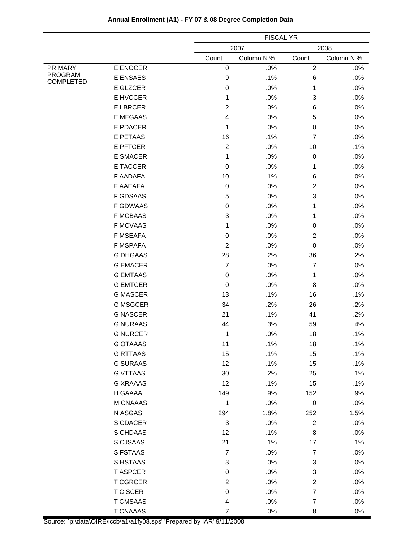|                                    |                 |                | <b>FISCAL YR</b> |                  |            |  |
|------------------------------------|-----------------|----------------|------------------|------------------|------------|--|
|                                    |                 |                | 2007             |                  | 2008       |  |
|                                    |                 | Count          | Column N %       | Count            | Column N % |  |
| <b>PRIMARY</b>                     | E ENOCER        | 0              | .0%              | $\mathbf 2$      | .0%        |  |
| <b>PROGRAM</b><br><b>COMPLETED</b> | <b>E ENSAES</b> | 9              | .1%              | 6                | .0%        |  |
|                                    | E GLZCER        | 0              | .0%              | 1                | .0%        |  |
|                                    | E HVCCER        | 1              | .0%              | 3                | .0%        |  |
|                                    | <b>E LBRCER</b> | 2              | .0%              | 6                | .0%        |  |
|                                    | <b>E MFGAAS</b> | 4              | .0%              | 5                | .0%        |  |
|                                    | E PDACER        | 1              | .0%              | $\boldsymbol{0}$ | .0%        |  |
|                                    | <b>E PETAAS</b> | 16             | .1%              | $\overline{7}$   | .0%        |  |
|                                    | <b>E PFTCER</b> | 2              | .0%              | 10               | .1%        |  |
|                                    | <b>E SMACER</b> | 1              | .0%              | $\mathbf 0$      | .0%        |  |
|                                    | <b>E TACCER</b> | $\mathsf 0$    | .0%              | 1                | .0%        |  |
|                                    | <b>F AADAFA</b> | 10             | .1%              | 6                | .0%        |  |
|                                    | F AAEAFA        | 0              | .0%              | $\overline{c}$   | .0%        |  |
|                                    | <b>F GDSAAS</b> | 5              | .0%              | 3                | .0%        |  |
|                                    | <b>F GDWAAS</b> | $\mathsf 0$    | .0%              | 1                | .0%        |  |
|                                    | <b>F MCBAAS</b> | 3              | .0%              | 1                | .0%        |  |
|                                    | <b>F MCVAAS</b> | 1              | .0%              | $\boldsymbol{0}$ | .0%        |  |
|                                    | <b>F MSEAFA</b> | 0              | .0%              | $\overline{c}$   | .0%        |  |
|                                    | <b>F MSPAFA</b> | 2              | .0%              | 0                | .0%        |  |
|                                    | <b>G DHGAAS</b> | 28             | .2%              | 36               | .2%        |  |
|                                    | <b>G EMACER</b> | $\overline{7}$ | .0%              | $\overline{7}$   | .0%        |  |
|                                    | <b>G EMTAAS</b> | 0              | .0%              | 1                | .0%        |  |
|                                    | <b>G EMTCER</b> | 0              | .0%              | 8                | .0%        |  |
|                                    | <b>G MASCER</b> | 13             | .1%              | 16               | .1%        |  |
|                                    | <b>G MSGCER</b> | 34             | .2%              | 26               | .2%        |  |
|                                    | <b>G NASCER</b> | 21             | .1%              | 41               | .2%        |  |
|                                    | <b>G NURAAS</b> | 44             | .3%              | 59               | .4%        |  |
|                                    | <b>G NURCER</b> | 1              | .0%              | 18               | .1%        |  |
|                                    | G OTAAAS        | 11             | .1%              | 18               | .1%        |  |
|                                    | <b>G RTTAAS</b> | 15             | .1%              | 15               | .1%        |  |
|                                    | <b>G SURAAS</b> | 12             | .1%              | 15               | .1%        |  |
|                                    | <b>G VTTAAS</b> | 30             | .2%              | 25               | .1%        |  |
|                                    | <b>G XRAAAS</b> | 12             | .1%              | 15               | .1%        |  |
|                                    | H GAAAA         | 149            | .9%              | 152              | .9%        |  |
|                                    | M CNAAAS        | 1              | $.0\%$           | $\mathbf 0$      | .0%        |  |
|                                    | N ASGAS         | 294            | 1.8%             | 252              | 1.5%       |  |
|                                    | S CDACER        | 3              | .0%              | $\boldsymbol{2}$ | .0%        |  |
|                                    | S CHDAAS        | 12             | .1%              | 8                | .0%        |  |
|                                    | S CJSAAS        | 21             | .1%              | 17               | .1%        |  |
|                                    | S FSTAAS        | $\overline{7}$ | $.0\%$           | $\boldsymbol{7}$ | .0%        |  |
|                                    | S HSTAAS        | 3              | .0%              | 3                | .0%        |  |
|                                    | <b>TASPCER</b>  | 0              | .0%              | 3                | .0%        |  |
|                                    | <b>T CGRCER</b> | $\overline{c}$ | .0%              | $\boldsymbol{2}$ | .0%        |  |
|                                    | <b>T CISCER</b> | $\,0\,$        | .0%              | $\boldsymbol{7}$ | .0%        |  |
|                                    | <b>T CMSAAS</b> | 4              | .0%              | $\boldsymbol{7}$ | .0%        |  |
|                                    | <b>T CNAAAS</b> | $\overline{7}$ | .0%              | 8                | .0%        |  |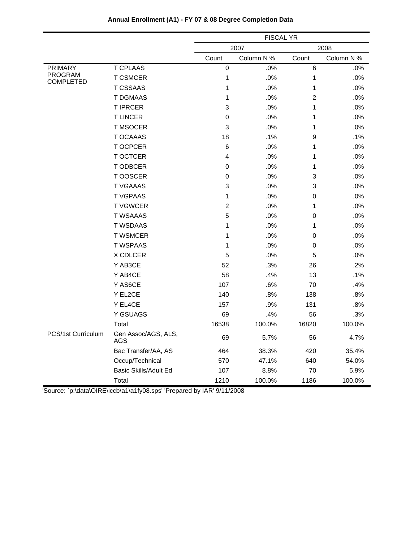|                             |                            | <b>FISCAL YR</b> |            |                  |            |
|-----------------------------|----------------------------|------------------|------------|------------------|------------|
|                             |                            |                  | 2007       |                  | 2008       |
|                             |                            | Count            | Column N % | Count            | Column N % |
| <b>PRIMARY</b>              | <b>T CPLAAS</b>            | 0                | .0%        | 6                | .0%        |
| PROGRAM<br><b>COMPLETED</b> | <b>T CSMCER</b>            | $\mathbf{1}$     | .0%        | $\mathbf 1$      | .0%        |
|                             | <b>T CSSAAS</b>            | 1                | .0%        | $\mathbf{1}$     | .0%        |
|                             | <b>T DGMAAS</b>            | 1                | .0%        | $\overline{c}$   | .0%        |
|                             | <b>TIPRCER</b>             | 3                | .0%        | $\mathbf{1}$     | .0%        |
|                             | <b>TLINCER</b>             | $\mathbf 0$      | .0%        | 1                | .0%        |
|                             | <b>T MSOCER</b>            | 3                | .0%        | $\mathbf{1}$     | .0%        |
|                             | T OCAAAS                   | 18               | .1%        | $\boldsymbol{9}$ | .1%        |
|                             | T OCPCER                   | $\,6$            | .0%        | 1                | .0%        |
|                             | T OCTCER                   | 4                | .0%        | $\mathbf{1}$     | .0%        |
|                             | T ODBCER                   | 0                | .0%        | $\mathbf{1}$     | .0%        |
|                             | T OOSCER                   | 0                | .0%        | 3                | .0%        |
|                             | <b>T VGAAAS</b>            | 3                | .0%        | 3                | .0%        |
|                             | <b>T VGPAAS</b>            | 1                | .0%        | $\boldsymbol{0}$ | .0%        |
|                             | <b>TVGWCER</b>             | $\mathbf 2$      | .0%        | $\mathbf 1$      | .0%        |
|                             | <b>T WSAAAS</b>            | 5                | .0%        | $\mathbf 0$      | .0%        |
|                             | <b>T WSDAAS</b>            | 1                | .0%        | $\mathbf 1$      | .0%        |
|                             | <b>T WSMCER</b>            | 1                | .0%        | 0                | .0%        |
|                             | <b>T WSPAAS</b>            | 1                | .0%        | 0                | .0%        |
|                             | X CDLCER                   | 5                | .0%        | 5                | .0%        |
|                             | Y AB3CE                    | 52               | .3%        | 26               | .2%        |
|                             | Y AB4CE                    | 58               | .4%        | 13               | .1%        |
|                             | Y AS6CE                    | 107              | .6%        | 70               | .4%        |
|                             | Y EL2CE                    | 140              | .8%        | 138              | .8%        |
|                             | Y EL4CE                    | 157              | .9%        | 131              | .8%        |
|                             | Y GSUAGS                   | 69               | .4%        | 56               | .3%        |
|                             | Total                      | 16538            | 100.0%     | 16820            | 100.0%     |
| PCS/1st Curriculum          | Gen Assoc/AGS, ALS,<br>AGS | 69               | 5.7%       | 56               | 4.7%       |
|                             | Bac Transfer/AA, AS        | 464              | 38.3%      | 420              | 35.4%      |
|                             | Occup/Technical            | 570              | 47.1%      | 640              | 54.0%      |
|                             | Basic Skills/Adult Ed      | 107              | 8.8%       | 70               | 5.9%       |
|                             | Total                      | 1210             | 100.0%     | 1186             | 100.0%     |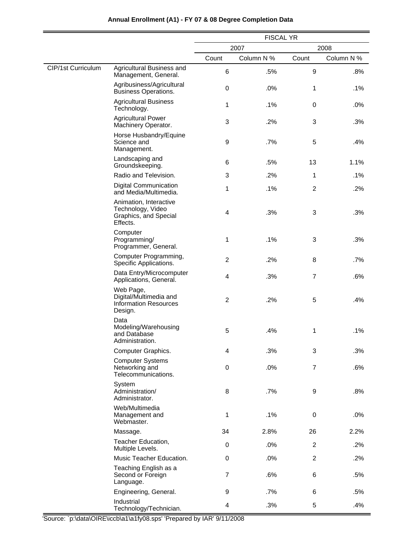|                    |                                                                                  | <b>FISCAL YR</b> |            |                  |            |
|--------------------|----------------------------------------------------------------------------------|------------------|------------|------------------|------------|
|                    |                                                                                  | 2007<br>2008     |            |                  |            |
|                    |                                                                                  | Count            | Column N % | Count            | Column N % |
| CIP/1st Curriculum | Agricultural Business and<br>Management, General.                                | 6                | .5%        | 9                | .8%        |
|                    | Agribusiness/Agricultural<br><b>Business Operations.</b>                         | $\mathsf 0$      | .0%        | 1                | .1%        |
|                    | <b>Agricultural Business</b><br>Technology.                                      | 1                | .1%        | 0                | .0%        |
|                    | <b>Agricultural Power</b><br>Machinery Operator.                                 | 3                | .2%        | 3                | .3%        |
|                    | Horse Husbandry/Equine<br>Science and<br>Management.                             | 9                | .7%        | 5                | .4%        |
|                    | Landscaping and<br>Groundskeeping.                                               | 6                | .5%        | 13               | 1.1%       |
|                    | Radio and Television.                                                            | 3                | .2%        | 1                | .1%        |
|                    | <b>Digital Communication</b><br>and Media/Multimedia.                            | 1                | .1%        | $\overline{c}$   | .2%        |
|                    | Animation, Interactive<br>Technology, Video<br>Graphics, and Special<br>Effects. | 4                | .3%        | 3                | .3%        |
|                    | Computer<br>Programming/<br>Programmer, General.                                 | 1                | .1%        | 3                | .3%        |
|                    | Computer Programming,<br>Specific Applications.                                  | $\overline{2}$   | .2%        | 8                | .7%        |
|                    | Data Entry/Microcomputer<br>Applications, General.                               | 4                | .3%        | $\overline{7}$   | .6%        |
|                    | Web Page,<br>Digital/Multimedia and<br><b>Information Resources</b><br>Design.   | $\overline{c}$   | .2%        | 5                | .4%        |
|                    | Data<br>Modeling/Warehousing<br>and Database<br>Administration.                  | 5                | .4%        | 1                | .1%        |
|                    | Computer Graphics.                                                               | 4                | .3%        | 3                | .3%        |
|                    | <b>Computer Systems</b><br>Networking and<br>Telecommunications.                 | $\boldsymbol{0}$ | .0%        | $\boldsymbol{7}$ | .6%        |
|                    | System<br>Administration/<br>Administrator.                                      | 8                | .7%        | 9                | .8%        |
|                    | Web/Multimedia<br>Management and<br>Webmaster.                                   | 1                | .1%        | 0                | .0%        |
|                    | Massage.                                                                         | 34               | 2.8%       | 26               | 2.2%       |
|                    | Teacher Education,<br>Multiple Levels.                                           | 0                | .0%        | $\overline{c}$   | .2%        |
|                    | Music Teacher Education.                                                         | $\boldsymbol{0}$ | .0%        | $\overline{c}$   | .2%        |
|                    | Teaching English as a<br>Second or Foreign<br>Language.                          | $\overline{7}$   | .6%        | 6                | .5%        |
|                    | Engineering, General.                                                            | 9                | .7%        | 6                | .5%        |
|                    | Industrial<br>Technology/Technician.                                             | 4                | .3%        | 5                | .4%        |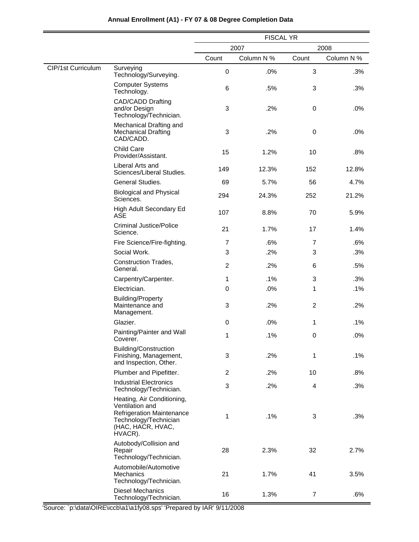|                    |                                                                                                                                            | <b>FISCAL YR</b> |            |                  |            |
|--------------------|--------------------------------------------------------------------------------------------------------------------------------------------|------------------|------------|------------------|------------|
|                    |                                                                                                                                            | 2007<br>2008     |            |                  |            |
|                    |                                                                                                                                            | Count            | Column N % | Count            | Column N % |
| CIP/1st Curriculum | Surveying<br>Technology/Surveying.                                                                                                         | $\boldsymbol{0}$ | .0%        | 3                | .3%        |
|                    | <b>Computer Systems</b><br>Technology.                                                                                                     | 6                | .5%        | 3                | .3%        |
|                    | <b>CAD/CADD Drafting</b><br>and/or Design<br>Technology/Technician.                                                                        | 3                | .2%        | $\boldsymbol{0}$ | .0%        |
|                    | Mechanical Drafting and<br><b>Mechanical Drafting</b><br>CAD/CADD.                                                                         | 3                | .2%        | 0                | .0%        |
|                    | <b>Child Care</b><br>Provider/Assistant.                                                                                                   | 15               | 1.2%       | 10               | .8%        |
|                    | Liberal Arts and<br>Sciences/Liberal Studies.                                                                                              | 149              | 12.3%      | 152              | 12.8%      |
|                    | General Studies.                                                                                                                           | 69               | 5.7%       | 56               | 4.7%       |
|                    | <b>Biological and Physical</b><br>Sciences.                                                                                                | 294              | 24.3%      | 252              | 21.2%      |
|                    | High Adult Secondary Ed<br><b>ASE</b>                                                                                                      | 107              | 8.8%       | 70               | 5.9%       |
|                    | <b>Criminal Justice/Police</b><br>Science.                                                                                                 | 21               | 1.7%       | 17               | 1.4%       |
|                    | Fire Science/Fire-fighting.                                                                                                                | $\overline{7}$   | .6%        | $\overline{7}$   | .6%        |
|                    | Social Work.                                                                                                                               | 3                | .2%        | 3                | .3%        |
|                    | Construction Trades,<br>General.                                                                                                           | $\overline{c}$   | .2%        | 6                | .5%        |
|                    | Carpentry/Carpenter.                                                                                                                       | 1                | .1%        | 3                | .3%        |
|                    | Electrician.                                                                                                                               | 0                | .0%        | 1                | .1%        |
|                    | <b>Building/Property</b><br>Maintenance and<br>Management.                                                                                 | 3                | .2%        | $\overline{c}$   | .2%        |
|                    | Glazier.                                                                                                                                   | $\boldsymbol{0}$ | .0%        | 1                | .1%        |
|                    | Painting/Painter and Wall<br>Coverer.                                                                                                      | 1                | .1%        | 0                | .0%        |
|                    | <b>Building/Construction</b><br>Finishing, Management,<br>and Inspection, Other.                                                           | 3                | .2%        | 1                | .1%        |
|                    | Plumber and Pipefitter.                                                                                                                    | $\overline{c}$   | .2%        | 10               | .8%        |
|                    | <b>Industrial Electronics</b><br>Technology/Technician.                                                                                    | 3                | .2%        | 4                | .3%        |
|                    | Heating, Air Conditioning,<br>Ventilation and<br><b>Refrigeration Maintenance</b><br>Technology/Technician<br>(HAC, HACR, HVAC,<br>HVACR). | 1                | .1%        | 3                | .3%        |
|                    | Autobody/Collision and<br>Repair<br>Technology/Technician.                                                                                 | 28               | 2.3%       | 32               | 2.7%       |
|                    | Automobile/Automotive<br><b>Mechanics</b><br>Technology/Technician.                                                                        | 21               | 1.7%       | 41               | 3.5%       |
|                    | <b>Diesel Mechanics</b><br>Technology/Technician.                                                                                          | 16               | 1.3%       | $\overline{7}$   | .6%        |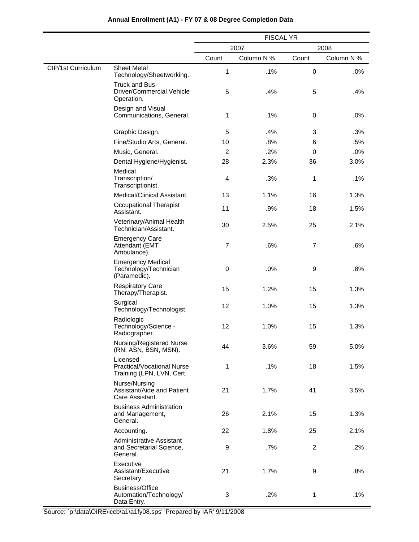|                    |                                                                         | <b>FISCAL YR</b> |            |                |            |
|--------------------|-------------------------------------------------------------------------|------------------|------------|----------------|------------|
|                    |                                                                         | 2008<br>2007     |            |                |            |
|                    |                                                                         | Count            | Column N % | Count          | Column N % |
| CIP/1st Curriculum | <b>Sheet Metal</b><br>Technology/Sheetworking.                          | 1                | .1%        | 0              | .0%        |
|                    | <b>Truck and Bus</b><br>Driver/Commercial Vehicle<br>Operation.         | 5                | .4%        | 5              | .4%        |
|                    | Design and Visual<br>Communications, General.                           | 1                | .1%        | $\mathbf 0$    | .0%        |
|                    | Graphic Design.                                                         | 5                | .4%        | 3              | .3%        |
|                    | Fine/Studio Arts, General.                                              | 10               | .8%        | 6              | .5%        |
|                    | Music, General.                                                         | $\overline{c}$   | .2%        | 0              | .0%        |
|                    | Dental Hygiene/Hygienist.                                               | 28               | 2.3%       | 36             | 3.0%       |
|                    | Medical<br>Transcription/<br>Transcriptionist.                          | 4                | .3%        | 1              | .1%        |
|                    | Medical/Clinical Assistant.                                             | 13               | 1.1%       | 16             | 1.3%       |
|                    | <b>Occupational Therapist</b><br>Assistant.                             | 11               | .9%        | 18             | 1.5%       |
|                    | Veterinary/Animal Health<br>Technician/Assistant.                       | 30               | 2.5%       | 25             | 2.1%       |
|                    | <b>Emergency Care</b><br>Attendant (EMT<br>Ambulance).                  | $\overline{7}$   | .6%        | $\overline{7}$ | .6%        |
|                    | <b>Emergency Medical</b><br>Technology/Technician<br>(Paramedic).       | 0                | .0%        | 9              | .8%        |
|                    | <b>Respiratory Care</b><br>Therapy/Therapist.                           | 15               | 1.2%       | 15             | 1.3%       |
|                    | Surgical<br>Technology/Technologist.                                    | 12               | 1.0%       | 15             | 1.3%       |
|                    | Radiologic<br>Technology/Science -<br>Radiographer.                     | 12               | 1.0%       | 15             | 1.3%       |
|                    | Nursing/Registered Nurse<br>(RN, ASN, BSN, MSN).                        | 44               | 3.6%       | 59             | 5.0%       |
|                    | Licensed<br>Practical/Vocational Nurse<br>Training (LPN, LVN, Cert.     | 1                | .1%        | 18             | 1.5%       |
|                    | Nurse/Nursing<br>Assistant/Aide and Patient<br>Care Assistant.          | 21               | 1.7%       | 41             | 3.5%       |
|                    | <b>Business Administration</b><br>and Management,<br>General.           | 26               | 2.1%       | 15             | 1.3%       |
|                    | Accounting.                                                             | 22               | 1.8%       | 25             | 2.1%       |
|                    | <b>Administrative Assistant</b><br>and Secretarial Science,<br>General. | 9                | .7%        | $\overline{c}$ | .2%        |
|                    | Executive<br>Assistant/Executive<br>Secretary.                          | 21               | 1.7%       | 9              | .8%        |
|                    | <b>Business/Office</b><br>Automation/Technology/<br>Data Entry.         | 3                | .2%        | $\mathbf{1}$   | .1%        |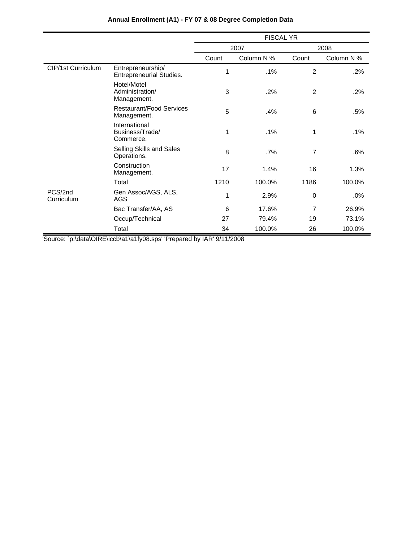|                       |                                                      | <b>FISCAL YR</b> |            |                |            |
|-----------------------|------------------------------------------------------|------------------|------------|----------------|------------|
|                       |                                                      |                  | 2007       | 2008           |            |
|                       |                                                      | Count            | Column N % | Count          | Column N % |
| CIP/1st Curriculum    | Entrepreneurship/<br><b>Entrepreneurial Studies.</b> | 1                | $.1\%$     | 2              | $.2\%$     |
|                       | Hotel/Motel<br>Administration/<br>Management.        | 3                | .2%        | $\overline{2}$ | $.2\%$     |
|                       | <b>Restaurant/Food Services</b><br>Management.       | 5                | .4%        | 6              | .5%        |
|                       | International<br>Business/Trade/<br>Commerce.        | 1                | $.1\%$     | 1              | .1%        |
|                       | Selling Skills and Sales<br>Operations.              | 8                | .7%        | $\overline{7}$ | .6%        |
|                       | Construction<br>Management.                          | 17               | 1.4%       | 16             | 1.3%       |
|                       | Total                                                | 1210             | 100.0%     | 1186           | 100.0%     |
| PCS/2nd<br>Curriculum | Gen Assoc/AGS, ALS,<br>AGS                           | 1                | 2.9%       | 0              | .0%        |
|                       | Bac Transfer/AA, AS                                  | 6                | 17.6%      | $\overline{7}$ | 26.9%      |
|                       | Occup/Technical                                      | 27               | 79.4%      | 19             | 73.1%      |
|                       | Total                                                | 34               | 100.0%     | 26             | 100.0%     |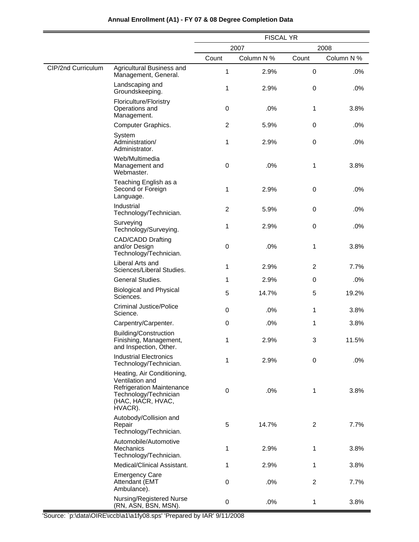|                    |                                                                                                                                            | <b>FISCAL YR</b> |            |                |            |
|--------------------|--------------------------------------------------------------------------------------------------------------------------------------------|------------------|------------|----------------|------------|
|                    |                                                                                                                                            | 2007<br>2008     |            |                |            |
|                    |                                                                                                                                            | Count            | Column N % | Count          | Column N % |
| CIP/2nd Curriculum | Agricultural Business and<br>Management, General.                                                                                          | 1                | 2.9%       | 0              | .0%        |
|                    | Landscaping and<br>Groundskeeping.                                                                                                         | 1                | 2.9%       | 0              | .0%        |
|                    | Floriculture/Floristry<br>Operations and<br>Management.                                                                                    | $\boldsymbol{0}$ | .0%        | 1              | 3.8%       |
|                    | Computer Graphics.                                                                                                                         | $\overline{c}$   | 5.9%       | 0              | .0%        |
|                    | System<br>Administration/<br>Administrator.                                                                                                | 1                | 2.9%       | 0              | .0%        |
|                    | Web/Multimedia<br>Management and<br>Webmaster.                                                                                             | $\boldsymbol{0}$ | .0%        | 1              | 3.8%       |
|                    | Teaching English as a<br>Second or Foreign<br>Language.                                                                                    | 1                | 2.9%       | 0              | .0%        |
|                    | Industrial<br>Technology/Technician.                                                                                                       | 2                | 5.9%       | 0              | .0%        |
|                    | Surveying<br>Technology/Surveying.                                                                                                         | 1                | 2.9%       | 0              | .0%        |
|                    | <b>CAD/CADD Drafting</b><br>and/or Design<br>Technology/Technician.                                                                        | 0                | .0%        | 1              | 3.8%       |
|                    | Liberal Arts and<br>Sciences/Liberal Studies.                                                                                              | 1                | 2.9%       | $\overline{c}$ | 7.7%       |
|                    | General Studies.                                                                                                                           | 1                | 2.9%       | 0              | .0%        |
|                    | <b>Biological and Physical</b><br>Sciences.                                                                                                | 5                | 14.7%      | 5              | 19.2%      |
|                    | <b>Criminal Justice/Police</b><br>Science.                                                                                                 | 0                | .0%        | 1              | 3.8%       |
|                    | Carpentry/Carpenter.                                                                                                                       | 0                | .0%        | 1              | 3.8%       |
|                    | <b>Building/Construction</b><br>Finishing, Management,<br>and Inspection, Other.                                                           | 1                | 2.9%       | 3              | 11.5%      |
|                    | <b>Industrial Electronics</b><br>Technology/Technician.                                                                                    | 1                | 2.9%       | 0              | .0%        |
|                    | Heating, Air Conditioning,<br>Ventilation and<br><b>Refrigeration Maintenance</b><br>Technology/Technician<br>(HAC, HACR, HVAC,<br>HVACR). | 0                | .0%        | 1              | 3.8%       |
|                    | Autobody/Collision and<br>Repair<br>Technology/Technician.                                                                                 | 5                | 14.7%      | $\overline{2}$ | 7.7%       |
|                    | Automobile/Automotive<br><b>Mechanics</b><br>Technology/Technician.                                                                        | 1                | 2.9%       | 1              | 3.8%       |
|                    | Medical/Clinical Assistant.                                                                                                                | 1                | 2.9%       | 1              | 3.8%       |
|                    | <b>Emergency Care</b><br>Attendant (EMT<br>Ambulance).                                                                                     | 0                | .0%        | $\overline{c}$ | 7.7%       |
|                    | Nursing/Registered Nurse<br>(RN, ASN, BSN, MSN).                                                                                           | 0                | .0%        | 1              | 3.8%       |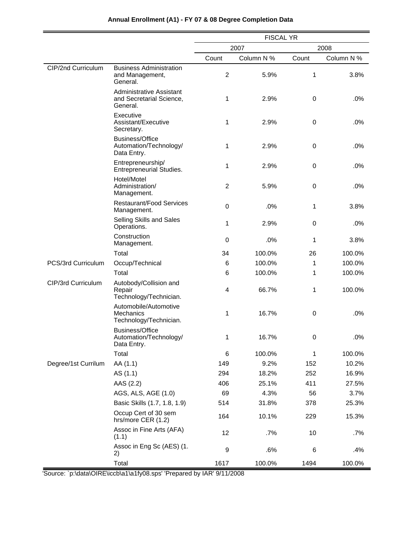|                     |                                                                         | <b>FISCAL YR</b> |            |       |            |
|---------------------|-------------------------------------------------------------------------|------------------|------------|-------|------------|
|                     |                                                                         |                  | 2007       |       | 2008       |
|                     |                                                                         | Count            | Column N % | Count | Column N % |
| CIP/2nd Curriculum  | <b>Business Administration</b><br>and Management,<br>General.           | $\overline{c}$   | 5.9%       | 1     | 3.8%       |
|                     | <b>Administrative Assistant</b><br>and Secretarial Science,<br>General. | 1                | 2.9%       | 0     | .0%        |
|                     | Executive<br>Assistant/Executive<br>Secretary.                          | 1                | 2.9%       | 0     | .0%        |
|                     | <b>Business/Office</b><br>Automation/Technology/<br>Data Entry.         | 1                | 2.9%       | 0     | .0%        |
|                     | Entrepreneurship/<br><b>Entrepreneurial Studies.</b>                    | 1                | 2.9%       | 0     | .0%        |
|                     | Hotel/Motel<br>Administration/<br>Management.                           | $\overline{2}$   | 5.9%       | 0     | .0%        |
|                     | <b>Restaurant/Food Services</b><br>Management.                          | 0                | .0%        | 1     | 3.8%       |
|                     | Selling Skills and Sales<br>Operations.                                 | 1                | 2.9%       | 0     | .0%        |
|                     | Construction<br>Management.                                             | 0                | .0%        | 1     | 3.8%       |
|                     | Total                                                                   | 34               | 100.0%     | 26    | 100.0%     |
| PCS/3rd Curriculum  | Occup/Technical                                                         | 6                | 100.0%     | 1     | 100.0%     |
|                     | Total                                                                   | 6                | 100.0%     | 1     | 100.0%     |
| CIP/3rd Curriculum  | Autobody/Collision and<br>Repair<br>Technology/Technician.              | 4                | 66.7%      | 1     | 100.0%     |
|                     | Automobile/Automotive<br>Mechanics<br>Technology/Technician.            | 1                | 16.7%      | 0     | .0%        |
|                     | <b>Business/Office</b><br>Automation/Technology/<br>Data Entry.         | 1                | 16.7%      | 0     | .0%        |
|                     | Total                                                                   | $\,6$            | 100.0%     | 1     | 100.0%     |
| Degree/1st Currilum | AA (1.1)                                                                | 149              | 9.2%       | 152   | 10.2%      |
|                     | AS (1.1)                                                                | 294              | 18.2%      | 252   | 16.9%      |
|                     | AAS (2.2)                                                               | 406              | 25.1%      | 411   | 27.5%      |
|                     | AGS, ALS, AGE (1.0)                                                     | 69               | 4.3%       | 56    | 3.7%       |
|                     | Basic Skills (1.7, 1.8, 1.9)                                            | 514              | 31.8%      | 378   | 25.3%      |
|                     | Occup Cert of 30 sem<br>hrs/more CER (1.2)                              | 164              | 10.1%      | 229   | 15.3%      |
|                     | Assoc in Fine Arts (AFA)<br>(1.1)                                       | 12               | .7%        | 10    | .7%        |
|                     | Assoc in Eng Sc (AES) (1.<br>2)                                         | 9                | .6%        | 6     | .4%        |

1617 100.0% 1494 100.0%

# **Annual Enrollment (A1) - FY 07 & 08 Degree Completion Data**

'Source: `p:\data\OIRE\iccb\a1\a1fy08.sps' 'Prepared by IAR' 9/11/2008

Total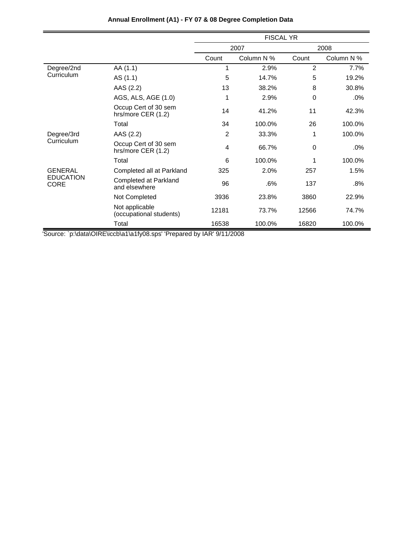|                                 |                                            | <b>FISCAL YR</b> |            |                |            |
|---------------------------------|--------------------------------------------|------------------|------------|----------------|------------|
|                                 |                                            |                  | 2007       |                | 2008       |
|                                 |                                            | Count            | Column N % | Count          | Column N % |
| Degree/2nd                      | AA (1.1)                                   | 1                | 2.9%       | $\overline{2}$ | 7.7%       |
| Curriculum                      | AS (1.1)                                   | 5                | 14.7%      | 5              | 19.2%      |
|                                 | AAS (2.2)                                  | 13               | 38.2%      | 8              | 30.8%      |
|                                 | AGS, ALS, AGE (1.0)                        |                  | 2.9%       | $\Omega$       | .0%        |
|                                 | Occup Cert of 30 sem<br>hrs/more CER (1.2) | 14               | 41.2%      | 11             | 42.3%      |
|                                 | Total                                      | 34               | 100.0%     | 26             | 100.0%     |
| Degree/3rd                      | AAS (2.2)                                  | $\overline{2}$   | 33.3%      | 1              | 100.0%     |
| Curriculum                      | Occup Cert of 30 sem<br>hrs/more CER (1.2) | 4                | 66.7%      | 0              | .0%        |
|                                 | Total                                      | 6                | 100.0%     | 1              | 100.0%     |
| <b>GENERAL</b>                  | Completed all at Parkland                  | 325              | 2.0%       | 257            | 1.5%       |
| <b>EDUCATION</b><br><b>CORE</b> | Completed at Parkland<br>and elsewhere     | 96               | .6%        | 137            | .8%        |
|                                 | Not Completed                              | 3936             | 23.8%      | 3860           | 22.9%      |
|                                 | Not applicable<br>(occupational students)  | 12181            | 73.7%      | 12566          | 74.7%      |
|                                 | Total                                      | 16538            | 100.0%     | 16820          | 100.0%     |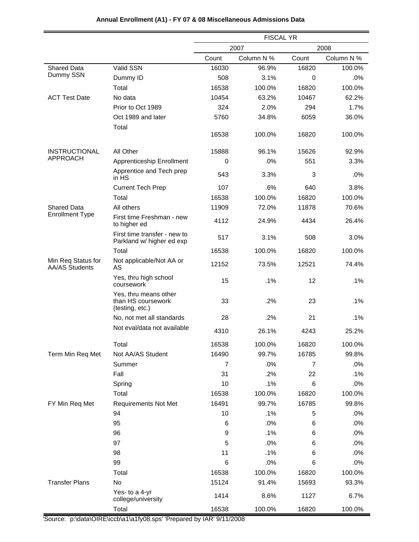|                                      |                                                                | <b>FISCAL YR</b> |            |       |            |
|--------------------------------------|----------------------------------------------------------------|------------------|------------|-------|------------|
|                                      |                                                                | 2007<br>2008     |            |       |            |
|                                      |                                                                | Count            | Column N % | Count | Column N % |
| <b>Shared Data</b>                   | Valid SSN                                                      | 16030            | 96.9%      | 16820 | 100.0%     |
| Dummy SSN                            | Dummy ID                                                       | 508              | 3.1%       | 0     | .0%        |
|                                      | Total                                                          | 16538            | 100.0%     | 16820 | 100.0%     |
| <b>ACT Test Date</b>                 | No data                                                        | 10454            | 63.2%      | 10467 | 62.2%      |
|                                      | Prior to Oct 1989                                              | 324              | 2.0%       | 294   | 1.7%       |
|                                      | Oct 1989 and later<br>Total                                    | 5760             | 34.8%      | 6059  | 36.0%      |
|                                      |                                                                | 16538            | 100.0%     | 16820 | 100.0%     |
| <b>INSTRUCTIONAL</b>                 | All Other                                                      | 15888            | 96.1%      | 15626 | 92.9%      |
| <b>APPROACH</b>                      | Apprenticeship Enrollment                                      | 0                | .0%        | 551   | 3.3%       |
|                                      | Apprentice and Tech prep<br>in HS                              | 543              | 3.3%       | 3     | .0%        |
|                                      | <b>Current Tech Prep</b>                                       | 107              | .6%        | 640   | 3.8%       |
|                                      | Total                                                          | 16538            | 100.0%     | 16820 | 100.0%     |
| <b>Shared Data</b>                   | All others                                                     | 11909            | 72.0%      | 11878 | 70.6%      |
| <b>Enrollment Type</b>               | First time Freshman - new<br>to higher ed                      | 4112             | 24.9%      | 4434  | 26.4%      |
|                                      | First time transfer - new to<br>Parkland w/ higher ed exp      | 517              | 3.1%       | 508   | 3.0%       |
|                                      | Total                                                          | 16538            | 100.0%     | 16820 | 100.0%     |
| Min Req Status for<br>AA/AS Students | Not applicable/Not AA or<br>AS                                 | 12152            | 73.5%      | 12521 | 74.4%      |
|                                      | Yes, thru high school<br>coursework                            | 15               | .1%        | 12    | .1%        |
|                                      | Yes, thru means other<br>than HS coursework<br>(testing, etc.) | 33               | .2%        | 23    | .1%        |
|                                      | No, not met all standards                                      | 28               | $.2\%$     | 21    | .1%        |
|                                      | Not eval/data not available                                    | 4310             | 26.1%      | 4243  | 25.2%      |
|                                      | Total                                                          | 16538            | 100.0%     | 16820 | 100.0%     |
| Term Min Req Met                     | Not AA/AS Student                                              | 16490            | 99.7%      | 16785 | 99.8%      |
|                                      | Summer                                                         | 7                | .0%        | 7     | .0%        |
|                                      | Fall                                                           | 31               | .2%        | 22    | .1%        |
|                                      | Spring                                                         | 10               | .1%        | $\,6$ | .0%        |
|                                      | Total                                                          | 16538            | 100.0%     | 16820 | 100.0%     |
| FY Min Req Met                       | <b>Requirements Not Met</b>                                    | 16491            | 99.7%      | 16785 | 99.8%      |
|                                      | 94                                                             | 10               | .1%        | 5     | .0%        |
|                                      | 95                                                             | 6                | .0%        | 6     | .0%        |
|                                      | 96                                                             | $\boldsymbol{9}$ | .1%        | 6     | .0%        |
|                                      | 97                                                             | 5                | .0%        | 6     | .0%        |
|                                      | 98                                                             | 11               | .1%        | 6     | .0%        |
|                                      | 99                                                             | 6                | .0%        | 6     | .0%        |
|                                      | Total                                                          | 16538            | 100.0%     | 16820 | 100.0%     |
| <b>Transfer Plans</b>                | No                                                             | 15124            | 91.4%      | 15693 | 93.3%      |
|                                      | Yes- to a 4-yr<br>college/university                           | 1414             | 8.6%       | 1127  | 6.7%       |
|                                      | Total                                                          | 16538            | 100.0%     | 16820 | 100.0%     |

# **Annual Enrollment (A1) - FY 07 & 08 Miscellaneous Admissions Data**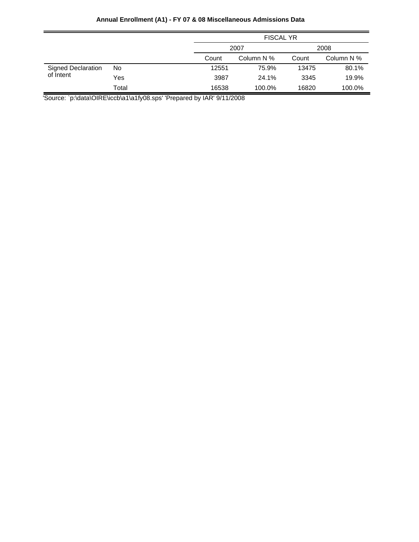# **Annual Enrollment (A1) - FY 07 & 08 Miscellaneous Admissions Data**

|                                        |       | <b>FISCAL YR</b> |            |       |            |
|----------------------------------------|-------|------------------|------------|-------|------------|
|                                        |       | 2007             |            | 2008  |            |
|                                        |       | Count            | Column N % | Count | Column N % |
| <b>Signed Declaration</b><br>of Intent | No    | 12551            | 75.9%      | 13475 | 80.1%      |
|                                        | Yes   | 3987             | 24.1%      | 3345  | 19.9%      |
|                                        | Total | 16538            | 100.0%     | 16820 | 100.0%     |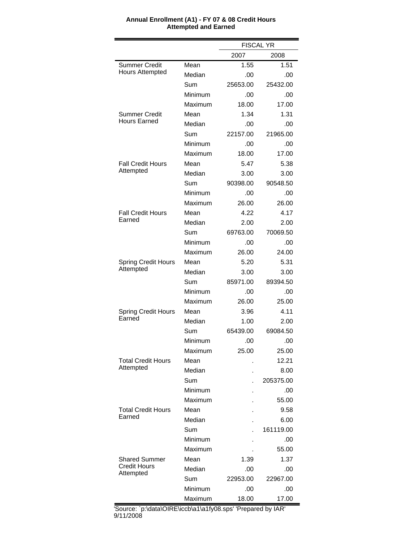|                                  |         | <b>FISCAL YR</b> |           |
|----------------------------------|---------|------------------|-----------|
|                                  |         | 2007<br>2008     |           |
| <b>Summer Credit</b>             | Mean    | 1.55             | 1.51      |
| <b>Hours Attempted</b>           | Median  | .00              | .00       |
|                                  | Sum     | 25653.00         | 25432.00  |
|                                  | Minimum | .00              | .00       |
|                                  | Maximum | 18.00            | 17.00     |
| Summer Credit                    | Mean    | 1.34             | 1.31      |
| <b>Hours Earned</b>              | Median  | .00              | .00       |
|                                  | Sum     | 22157.00         | 21965.00  |
|                                  | Minimum | .00              | .00       |
|                                  | Maximum | 18.00            | 17.00     |
| <b>Fall Credit Hours</b>         | Mean    | 5.47             | 5.38      |
| Attempted                        | Median  | 3.00             | 3.00      |
|                                  | Sum     | 90398.00         | 90548.50  |
|                                  | Minimum | .00              | .00       |
|                                  | Maximum | 26.00            | 26.00     |
| <b>Fall Credit Hours</b>         | Mean    | 4.22             | 4.17      |
| Earned                           | Median  | 2.00             | 2.00      |
|                                  | Sum     | 69763.00         | 70069.50  |
|                                  | Minimum | .00              | .00       |
|                                  | Maximum | 26.00            | 24.00     |
| <b>Spring Credit Hours</b>       | Mean    | 5.20             | 5.31      |
| Attempted                        | Median  | 3.00             | 3.00      |
|                                  | Sum     | 85971.00         | 89394.50  |
|                                  | Minimum | .00              | .00       |
|                                  | Maximum | 26.00            | 25.00     |
| <b>Spring Credit Hours</b>       | Mean    | 3.96             | 4.11      |
| Earned                           | Median  | 1.00             | 2.00      |
|                                  | Sum     | 65439.00         | 69084.50  |
|                                  | Minimum | .00              | .00       |
|                                  | Maximum | 25.00            | 25.00     |
| <b>Total Credit Hours</b>        | Mean    |                  | 12.21     |
| Attempted                        | Median  |                  | 8.00      |
|                                  | Sum     |                  | 205375.00 |
|                                  | Minimum |                  | .00       |
|                                  | Maximum |                  | 55.00     |
| <b>Total Credit Hours</b>        | Mean    |                  | 9.58      |
| Earned                           | Median  |                  | 6.00      |
|                                  | Sum     |                  | 161119.00 |
|                                  | Minimum |                  | .00       |
|                                  | Maximum |                  | 55.00     |
| <b>Shared Summer</b>             | Mean    | 1.39             | 1.37      |
| <b>Credit Hours</b><br>Attempted | Median  | .00              | .00       |
|                                  | Sum     | 22953.00         | 22967.00  |
|                                  | Minimum | .00              | .00       |
|                                  | Maximum | 18.00            | 17.00     |

#### **Annual Enrollment (A1) - FY 07 & 08 Credit Hours Attempted and Earned**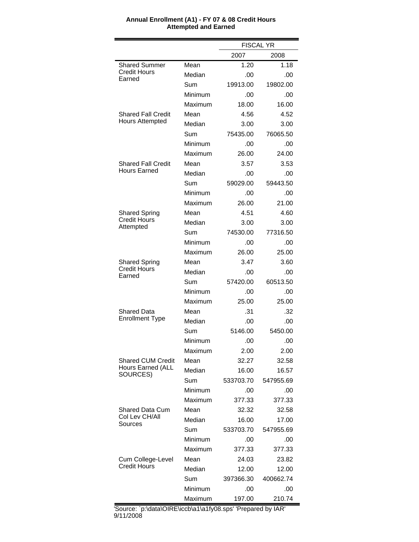|                                  |         | <b>FISCAL YR</b> |           |  |
|----------------------------------|---------|------------------|-----------|--|
|                                  |         | 2008<br>2007     |           |  |
| <b>Shared Summer</b>             | Mean    | 1.20             | 1.18      |  |
| <b>Credit Hours</b><br>Earned    | Median  | .00              | .00       |  |
|                                  | Sum     | 19913.00         | 19802.00  |  |
|                                  | Minimum | .00              | .00       |  |
|                                  | Maximum | 18.00            | 16.00     |  |
| Shared Fall Credit               | Mean    | 4.56             | 4.52      |  |
| <b>Hours Attempted</b>           | Median  | 3.00             | 3.00      |  |
|                                  | Sum     | 75435.00         | 76065.50  |  |
|                                  | Minimum | .00              | .00       |  |
|                                  | Maximum | 26.00            | 24.00     |  |
| Shared Fall Credit               | Mean    | 3.57             | 3.53      |  |
| <b>Hours Earned</b>              | Median  | .00              | .00       |  |
|                                  | Sum     | 59029.00         | 59443.50  |  |
|                                  | Minimum | .00              | .00       |  |
|                                  | Maximum | 26.00            | 21.00     |  |
| <b>Shared Spring</b>             | Mean    | 4.51             | 4.60      |  |
| <b>Credit Hours</b><br>Attempted | Median  | 3.00             | 3.00      |  |
|                                  | Sum     | 74530.00         | 77316.50  |  |
|                                  | Minimum | .00              | .00       |  |
|                                  | Maximum | 26.00            | 25.00     |  |
| <b>Shared Spring</b>             | Mean    | 3.47             | 3.60      |  |
| <b>Credit Hours</b><br>Earned    | Median  | .00              | .00       |  |
|                                  | Sum     | 57420.00         | 60513.50  |  |
|                                  | Minimum | .00              | .00       |  |
|                                  | Maximum | 25.00            | 25.00     |  |
| Shared Data                      | Mean    | .31              | .32       |  |
| <b>Enrollment Type</b>           | Median  | .00              | .00       |  |
|                                  | Sum     | 5146.00          | 5450.00   |  |
|                                  | Minimum | .00              | .00       |  |
|                                  | Maximum | 2.00             | 2.00      |  |
| <b>Shared CUM Credit</b>         | Mean    | 32.27            | 32.58     |  |
| Hours Earned (ALL<br>SOURCES)    | Median  | 16.00            | 16.57     |  |
|                                  | Sum     | 533703.70        | 547955.69 |  |
|                                  | Minimum | .00              | .00       |  |
|                                  | Maximum | 377.33           | 377.33    |  |
| Shared Data Cum                  | Mean    | 32.32            | 32.58     |  |
| Col Lev CH/All<br>Sources        | Median  | 16.00            | 17.00     |  |
|                                  | Sum     | 533703.70        | 547955.69 |  |
|                                  | Minimum | .00              | .00       |  |
|                                  | Maximum | 377.33           | 377.33    |  |
| Cum College-Level                | Mean    | 24.03            | 23.82     |  |
| <b>Credit Hours</b>              | Median  | 12.00            | 12.00     |  |
|                                  | Sum     | 397366.30        | 400662.74 |  |
|                                  | Minimum | .00              | .00       |  |
|                                  | Maximum | 197.00           | 210.74    |  |

#### **Annual Enrollment (A1) - FY 07 & 08 Credit Hours Attempted and Earned**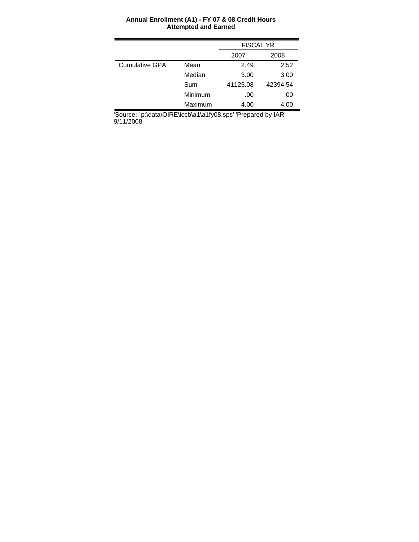#### **Annual Enrollment (A1) - FY 07 & 08 Credit Hours Attempted and Earned**

|                       |         | <b>FISCAL YR</b> |          |  |
|-----------------------|---------|------------------|----------|--|
|                       |         | 2007             | 2008     |  |
| <b>Cumulative GPA</b> | Mean    | 2.49             | 2.52     |  |
|                       | Median  | 3.00             | 3.00     |  |
|                       | Sum     | 41125.08         | 42394.54 |  |
|                       | Minimum | .00              | .00      |  |
|                       | Maximum | 4.00             | 4.00     |  |